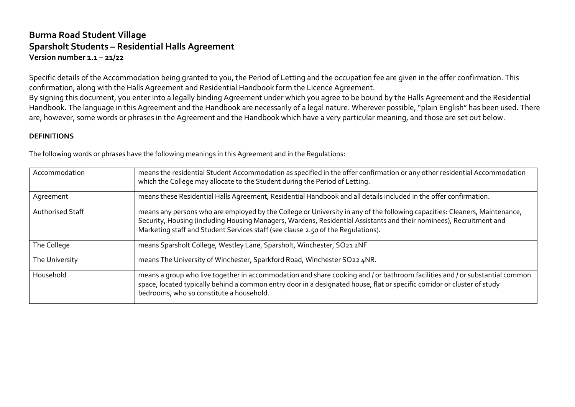## **Burma Road Student Village Sparsholt Students – Residential Halls Agreement Version number 1.1 – 21/22**

Specific details of the Accommodation being granted to you, the Period of Letting and the occupation fee are given in the offer confirmation. This confirmation, along with the Halls Agreement and Residential Handbook form the Licence Agreement.

By signing this document, you enter into a legally binding Agreement under which you agree to be bound by the Halls Agreement and the Residential Handbook. The language in this Agreement and the Handbook are necessarily of a legal nature. Wherever possible, "plain English" has been used. There are, however, some words or phrases in the Agreement and the Handbook which have a very particular meaning, and those are set out below.

#### **DEFINITIONS**

The following words or phrases have the following meanings in this Agreement and in the Regulations:

| Accommodation           | means the residential Student Accommodation as specified in the offer confirmation or any other residential Accommodation<br>which the College may allocate to the Student during the Period of Letting.                                                                                                                              |
|-------------------------|---------------------------------------------------------------------------------------------------------------------------------------------------------------------------------------------------------------------------------------------------------------------------------------------------------------------------------------|
| Agreement               | means these Residential Halls Agreement, Residential Handbook and all details included in the offer confirmation.                                                                                                                                                                                                                     |
| <b>Authorised Staff</b> | means any persons who are employed by the College or University in any of the following capacities: Cleaners, Maintenance,<br>Security, Housing (including Housing Managers, Wardens, Residential Assistants and their nominees), Recruitment and<br>Marketing staff and Student Services staff (see clause 2.50 of the Requlations). |
| The College             | means Sparsholt College, Westley Lane, Sparsholt, Winchester, SO21 2NF                                                                                                                                                                                                                                                                |
| The University          | means The University of Winchester, Sparkford Road, Winchester SO22 4NR.                                                                                                                                                                                                                                                              |
| Household               | means a group who live together in accommodation and share cooking and / or bathroom facilities and / or substantial common<br>space, located typically behind a common entry door in a designated house, flat or specific corridor or cluster of study<br>bedrooms, who so constitute a household.                                   |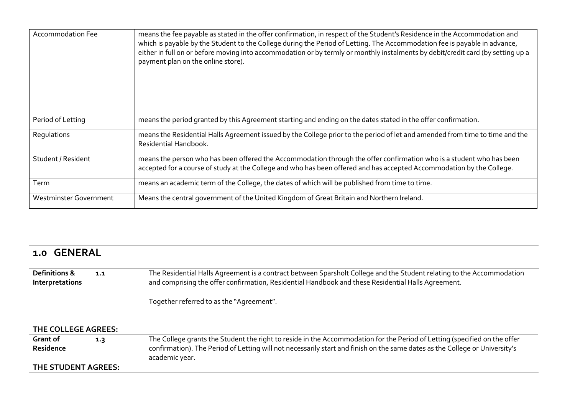| <b>Accommodation Fee</b> | means the fee payable as stated in the offer confirmation, in respect of the Student's Residence in the Accommodation and<br>which is payable by the Student to the College during the Period of Letting. The Accommodation fee is payable in advance,<br>either in full on or before moving into accommodation or by termly or monthly instalments by debit/credit card (by setting up a<br>payment plan on the online store). |
|--------------------------|---------------------------------------------------------------------------------------------------------------------------------------------------------------------------------------------------------------------------------------------------------------------------------------------------------------------------------------------------------------------------------------------------------------------------------|
| Period of Letting        | means the period granted by this Agreement starting and ending on the dates stated in the offer confirmation.                                                                                                                                                                                                                                                                                                                   |
| Regulations              | means the Residential Halls Agreement issued by the College prior to the period of let and amended from time to time and the<br>Residential Handbook.                                                                                                                                                                                                                                                                           |
| Student / Resident       | means the person who has been offered the Accommodation through the offer confirmation who is a student who has been<br>accepted for a course of study at the College and who has been offered and has accepted Accommodation by the College.                                                                                                                                                                                   |
| Term                     | means an academic term of the College, the dates of which will be published from time to time.                                                                                                                                                                                                                                                                                                                                  |
| Westminster Government   | Means the central government of the United Kingdom of Great Britain and Northern Ireland.                                                                                                                                                                                                                                                                                                                                       |

# **1.0 GENERAL**

**Definitions & Interpretations 1.1** The Residential Halls Agreement is a contract between Sparsholt College and the Student relating to the Accommodation and comprising the offer confirmation, Residential Handbook and these Residential Halls Agreement.

Together referred to as the "Agreement".

| THE COLLEGE AGREES:   |     |                                                                                                                                                                                                                                                                            |  |  |
|-----------------------|-----|----------------------------------------------------------------------------------------------------------------------------------------------------------------------------------------------------------------------------------------------------------------------------|--|--|
| Grant of<br>Residence | 1.3 | The College grants the Student the right to reside in the Accommodation for the Period of Letting (specified on the offer<br>confirmation). The Period of Letting will not necessarily start and finish on the same dates as the College or University's<br>academic year. |  |  |
| THE STUDENT AGREES:   |     |                                                                                                                                                                                                                                                                            |  |  |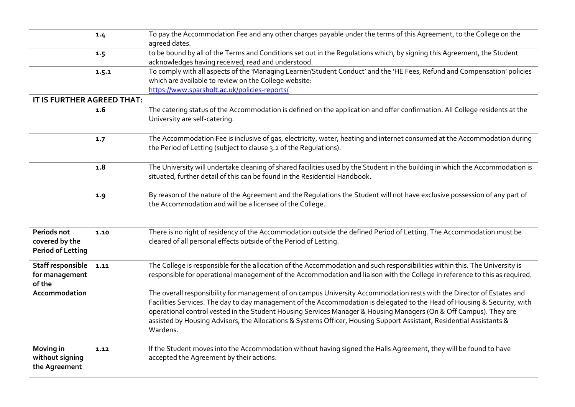|                                                           | 1.4   | To pay the Accommodation Fee and any other charges payable under the terms of this Agreement, to the College on the<br>agreed dates.                                                                                                                                                                                                                                                                                                                                                                        |
|-----------------------------------------------------------|-------|-------------------------------------------------------------------------------------------------------------------------------------------------------------------------------------------------------------------------------------------------------------------------------------------------------------------------------------------------------------------------------------------------------------------------------------------------------------------------------------------------------------|
|                                                           | 1.5   | to be bound by all of the Terms and Conditions set out in the Regulations which, by signing this Agreement, the Student<br>acknowledges having received, read and understood.                                                                                                                                                                                                                                                                                                                               |
|                                                           | 1.5.1 | To comply with all aspects of the 'Managing Learner/Student Conduct' and the 'HE Fees, Refund and Compensation' policies<br>which are available to review on the College website:<br>https://www.sparsholt.ac.uk/policies-reports/                                                                                                                                                                                                                                                                          |
| IT IS FURTHER AGREED THAT:                                |       |                                                                                                                                                                                                                                                                                                                                                                                                                                                                                                             |
|                                                           | 1.6   | The catering status of the Accommodation is defined on the application and offer confirmation. All College residents at the<br>University are self-catering.                                                                                                                                                                                                                                                                                                                                                |
|                                                           | 1.7   | The Accommodation Fee is inclusive of gas, electricity, water, heating and internet consumed at the Accommodation during<br>the Period of Letting (subject to clause 3.2 of the Regulations).                                                                                                                                                                                                                                                                                                               |
|                                                           | 1.8   | The University will undertake cleaning of shared facilities used by the Student in the building in which the Accommodation is<br>situated, further detail of this can be found in the Residential Handbook.                                                                                                                                                                                                                                                                                                 |
|                                                           | 1.9   | By reason of the nature of the Agreement and the Regulations the Student will not have exclusive possession of any part of<br>the Accommodation and will be a licensee of the College.                                                                                                                                                                                                                                                                                                                      |
| Periods not<br>covered by the<br><b>Period of Letting</b> | 1.10  | There is no right of residency of the Accommodation outside the defined Period of Letting. The Accommodation must be<br>cleared of all personal effects outside of the Period of Letting.                                                                                                                                                                                                                                                                                                                   |
| Staff responsible<br>for management<br>of the             | 1.11  | The College is responsible for the allocation of the Accommodation and such responsibilities within this. The University is<br>responsible for operational management of the Accommodation and liaison with the College in reference to this as required.                                                                                                                                                                                                                                                   |
| Accommodation                                             |       | The overall responsibility for management of on campus University Accommodation rests with the Director of Estates and<br>Facilities Services. The day to day management of the Accommodation is delegated to the Head of Housing & Security, with<br>operational control vested in the Student Housing Services Manager & Housing Managers (On & Off Campus). They are<br>assisted by Housing Advisors, the Allocations & Systems Officer, Housing Support Assistant, Residential Assistants &<br>Wardens. |
| <b>Moving in</b><br>without signing<br>the Agreement      | 1.12  | If the Student moves into the Accommodation without having signed the Halls Agreement, they will be found to have<br>accepted the Agreement by their actions.                                                                                                                                                                                                                                                                                                                                               |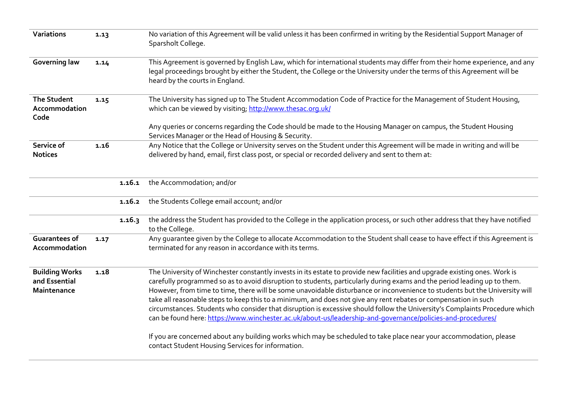| Variations                                            | 1.13 |        | No variation of this Agreement will be valid unless it has been confirmed in writing by the Residential Support Manager of<br>Sparsholt College.                                                                                                                                                                                                                                                                                                                                                                                                                                                                                                                                                                                                                                                                                                                                                                                  |
|-------------------------------------------------------|------|--------|-----------------------------------------------------------------------------------------------------------------------------------------------------------------------------------------------------------------------------------------------------------------------------------------------------------------------------------------------------------------------------------------------------------------------------------------------------------------------------------------------------------------------------------------------------------------------------------------------------------------------------------------------------------------------------------------------------------------------------------------------------------------------------------------------------------------------------------------------------------------------------------------------------------------------------------|
| <b>Governing law</b>                                  | 1.14 |        | This Agreement is governed by English Law, which for international students may differ from their home experience, and any<br>legal proceedings brought by either the Student, the College or the University under the terms of this Agreement will be<br>heard by the courts in England.                                                                                                                                                                                                                                                                                                                                                                                                                                                                                                                                                                                                                                         |
| <b>The Student</b><br>Accommodation<br>Code           | 1.15 |        | The University has signed up to The Student Accommodation Code of Practice for the Management of Student Housing,<br>which can be viewed by visiting; http://www.thesac.org.uk/                                                                                                                                                                                                                                                                                                                                                                                                                                                                                                                                                                                                                                                                                                                                                   |
|                                                       |      |        | Any queries or concerns regarding the Code should be made to the Housing Manager on campus, the Student Housing<br>Services Manager or the Head of Housing & Security.                                                                                                                                                                                                                                                                                                                                                                                                                                                                                                                                                                                                                                                                                                                                                            |
| Service of<br><b>Notices</b>                          | 1.16 |        | Any Notice that the College or University serves on the Student under this Agreement will be made in writing and will be<br>delivered by hand, email, first class post, or special or recorded delivery and sent to them at:                                                                                                                                                                                                                                                                                                                                                                                                                                                                                                                                                                                                                                                                                                      |
|                                                       |      | 1.16.1 | the Accommodation; and/or                                                                                                                                                                                                                                                                                                                                                                                                                                                                                                                                                                                                                                                                                                                                                                                                                                                                                                         |
|                                                       |      | 1.16.2 | the Students College email account; and/or                                                                                                                                                                                                                                                                                                                                                                                                                                                                                                                                                                                                                                                                                                                                                                                                                                                                                        |
|                                                       |      | 1.16.3 | the address the Student has provided to the College in the application process, or such other address that they have notified<br>to the College.                                                                                                                                                                                                                                                                                                                                                                                                                                                                                                                                                                                                                                                                                                                                                                                  |
| <b>Guarantees of</b><br>Accommodation                 | 1.17 |        | Any guarantee given by the College to allocate Accommodation to the Student shall cease to have effect if this Agreement is<br>terminated for any reason in accordance with its terms.                                                                                                                                                                                                                                                                                                                                                                                                                                                                                                                                                                                                                                                                                                                                            |
| <b>Building Works</b><br>and Essential<br>Maintenance | 1.18 |        | The University of Winchester constantly invests in its estate to provide new facilities and upgrade existing ones. Work is<br>carefully programmed so as to avoid disruption to students, particularly during exams and the period leading up to them.<br>However, from time to time, there will be some unavoidable disturbance or inconvenience to students but the University will<br>take all reasonable steps to keep this to a minimum, and does not give any rent rebates or compensation in such<br>circumstances. Students who consider that disruption is excessive should follow the University's Complaints Procedure which<br>can be found here: https://www.winchester.ac.uk/about-us/leadership-and-governance/policies-and-procedures/<br>If you are concerned about any building works which may be scheduled to take place near your accommodation, please<br>contact Student Housing Services for information. |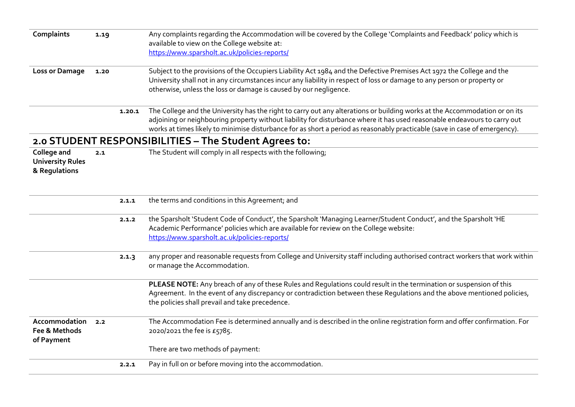| <b>Complaints</b>       | 1.19 |        | Any complaints regarding the Accommodation will be covered by the College 'Complaints and Feedback' policy which is         |
|-------------------------|------|--------|-----------------------------------------------------------------------------------------------------------------------------|
|                         |      |        | available to view on the College website at:                                                                                |
|                         |      |        | https://www.sparsholt.ac.uk/policies-reports/                                                                               |
| <b>Loss or Damage</b>   | 1.20 |        | Subject to the provisions of the Occupiers Liability Act 1984 and the Defective Premises Act 1972 the College and the       |
|                         |      |        | University shall not in any circumstances incur any liability in respect of loss or damage to any person or property or     |
|                         |      |        | otherwise, unless the loss or damage is caused by our negligence.                                                           |
|                         |      | 1.20.1 | The College and the University has the right to carry out any alterations or building works at the Accommodation or on its  |
|                         |      |        | adjoining or neighbouring property without liability for disturbance where it has used reasonable endeavours to carry out   |
|                         |      |        | works at times likely to minimise disturbance for as short a period as reasonably practicable (save in case of emergency).  |
|                         |      |        | 2.0 STUDENT RESPONSIBILITIES - The Student Agrees to:                                                                       |
| <b>College and</b>      | 2.1  |        | The Student will comply in all respects with the following;                                                                 |
| <b>University Rules</b> |      |        |                                                                                                                             |
| & Regulations           |      |        |                                                                                                                             |
|                         |      |        |                                                                                                                             |
|                         |      |        |                                                                                                                             |
|                         |      | 2.1.1  | the terms and conditions in this Agreement; and                                                                             |
|                         |      | 2.1.2  | the Sparsholt 'Student Code of Conduct', the Sparsholt 'Managing Learner/Student Conduct', and the Sparsholt 'HE            |
|                         |      |        | Academic Performance' policies which are available for review on the College website:                                       |
|                         |      |        | https://www.sparsholt.ac.uk/policies-reports/                                                                               |
|                         |      | 2.1.3  | any proper and reasonable requests from College and University staff including authorised contract workers that work within |
|                         |      |        | or manage the Accommodation.                                                                                                |
|                         |      |        | PLEASE NOTE: Any breach of any of these Rules and Regulations could result in the termination or suspension of this         |
|                         |      |        | Agreement. In the event of any discrepancy or contradiction between these Regulations and the above mentioned policies,     |
|                         |      |        | the policies shall prevail and take precedence.                                                                             |
| Accommodation           | 2.2  |        | The Accommodation Fee is determined annually and is described in the online registration form and offer confirmation. For   |
| Fee & Methods           |      |        | 2020/2021 the fee is £5785.                                                                                                 |
| of Payment              |      |        | There are two methods of payment:                                                                                           |
|                         |      |        |                                                                                                                             |
|                         |      | 2.2.1  | Pay in full on or before moving into the accommodation.                                                                     |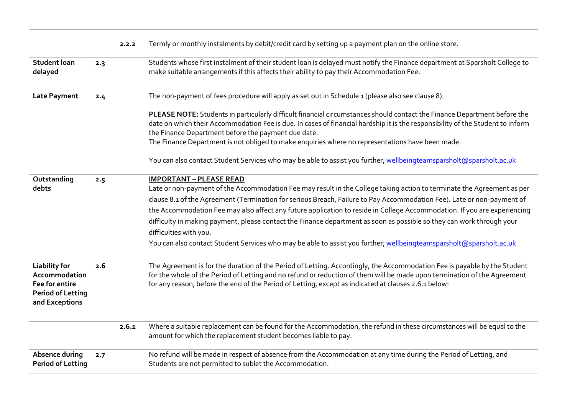|                                                                                                       |     | 2.2.2 | Termly or monthly instalments by debit/credit card by setting up a payment plan on the online store.                                                                                                                                                                                                                                                                                                                                                                                                                                                                                                                                                                                     |
|-------------------------------------------------------------------------------------------------------|-----|-------|------------------------------------------------------------------------------------------------------------------------------------------------------------------------------------------------------------------------------------------------------------------------------------------------------------------------------------------------------------------------------------------------------------------------------------------------------------------------------------------------------------------------------------------------------------------------------------------------------------------------------------------------------------------------------------------|
| <b>Student loan</b><br>delayed                                                                        | 2.3 |       | Students whose first instalment of their student loan is delayed must notify the Finance department at Sparsholt College to<br>make suitable arrangements if this affects their ability to pay their Accommodation Fee.                                                                                                                                                                                                                                                                                                                                                                                                                                                                  |
| <b>Late Payment</b>                                                                                   | 2.4 |       | The non-payment of fees procedure will apply as set out in Schedule 1 (please also see clause 8).                                                                                                                                                                                                                                                                                                                                                                                                                                                                                                                                                                                        |
|                                                                                                       |     |       | PLEASE NOTE: Students in particularly difficult financial circumstances should contact the Finance Department before the<br>date on which their Accommodation Fee is due. In cases of financial hardship it is the responsibility of the Student to inform<br>the Finance Department before the payment due date.<br>The Finance Department is not obliged to make enquiries where no representations have been made.                                                                                                                                                                                                                                                                    |
|                                                                                                       |     |       | You can also contact Student Services who may be able to assist you further; wellbeingteamsparsholt@sparsholt.ac.uk                                                                                                                                                                                                                                                                                                                                                                                                                                                                                                                                                                      |
| Outstanding<br>debts                                                                                  | 2.5 |       | <b>IMPORTANT - PLEASE READ</b><br>Late or non-payment of the Accommodation Fee may result in the College taking action to terminate the Agreement as per<br>clause 8.1 of the Agreement (Termination for serious Breach, Failure to Pay Accommodation Fee). Late or non-payment of<br>the Accommodation Fee may also affect any future application to reside in College Accommodation. If you are experiencing<br>difficulty in making payment, please contact the Finance department as soon as possible so they can work through your<br>difficulties with you.<br>You can also contact Student Services who may be able to assist you further; wellbeingteamsparsholt@sparsholt.ac.uk |
| <b>Liability for</b><br>Accommodation<br>Fee for entire<br><b>Period of Letting</b><br>and Exceptions | 2.6 |       | The Agreement is for the duration of the Period of Letting. Accordingly, the Accommodation Fee is payable by the Student<br>for the whole of the Period of Letting and no refund or reduction of them will be made upon termination of the Agreement<br>for any reason, before the end of the Period of Letting, except as indicated at clauses 2.6.1 below:                                                                                                                                                                                                                                                                                                                             |
|                                                                                                       |     | 2.6.1 | Where a suitable replacement can be found for the Accommodation, the refund in these circumstances will be equal to the<br>amount for which the replacement student becomes liable to pay.                                                                                                                                                                                                                                                                                                                                                                                                                                                                                               |
| Absence during<br><b>Period of Letting</b>                                                            | 2.7 |       | No refund will be made in respect of absence from the Accommodation at any time during the Period of Letting, and<br>Students are not permitted to sublet the Accommodation.                                                                                                                                                                                                                                                                                                                                                                                                                                                                                                             |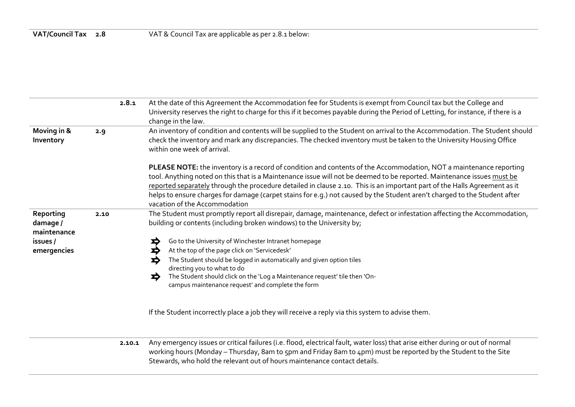|                                      | 2.8.1  | At the date of this Agreement the Accommodation fee for Students is exempt from Council tax but the College and<br>University reserves the right to charge for this if it becomes payable during the Period of Letting, for instance, if there is a<br>change in the law.                                                                                                                                                                                                                                                               |
|--------------------------------------|--------|-----------------------------------------------------------------------------------------------------------------------------------------------------------------------------------------------------------------------------------------------------------------------------------------------------------------------------------------------------------------------------------------------------------------------------------------------------------------------------------------------------------------------------------------|
| Moving in &<br>Inventory             | 2.9    | An inventory of condition and contents will be supplied to the Student on arrival to the Accommodation. The Student should<br>check the inventory and mark any discrepancies. The checked inventory must be taken to the University Housing Office<br>within one week of arrival.                                                                                                                                                                                                                                                       |
|                                      |        | PLEASE NOTE: the inventory is a record of condition and contents of the Accommodation, NOT a maintenance reporting<br>tool. Anything noted on this that is a Maintenance issue will not be deemed to be reported. Maintenance issues must be<br>reported separately through the procedure detailed in clause 2.10. This is an important part of the Halls Agreement as it<br>helps to ensure charges for damage (carpet stains for e.g.) not caused by the Student aren't charged to the Student after<br>vacation of the Accommodation |
| Reporting<br>damage /<br>maintenance | 2.10   | The Student must promptly report all disrepair, damage, maintenance, defect or infestation affecting the Accommodation,<br>building or contents (including broken windows) to the University by;                                                                                                                                                                                                                                                                                                                                        |
| issues /                             |        | Go to the University of Winchester Intranet homepage<br>₽                                                                                                                                                                                                                                                                                                                                                                                                                                                                               |
| emergencies                          |        | At the top of the page click on 'Servicedesk'                                                                                                                                                                                                                                                                                                                                                                                                                                                                                           |
|                                      |        | The Student should be logged in automatically and given option tiles                                                                                                                                                                                                                                                                                                                                                                                                                                                                    |
|                                      |        | directing you to what to do<br>The Student should click on the 'Log a Maintenance request' tile then 'On-<br>⊅<br>campus maintenance request' and complete the form                                                                                                                                                                                                                                                                                                                                                                     |
|                                      |        | If the Student incorrectly place a job they will receive a reply via this system to advise them.                                                                                                                                                                                                                                                                                                                                                                                                                                        |
|                                      | 2.10.1 | Any emergency issues or critical failures (i.e. flood, electrical fault, water loss) that arise either during or out of normal<br>working hours (Monday - Thursday, 8am to 5pm and Friday 8am to 4pm) must be reported by the Student to the Site                                                                                                                                                                                                                                                                                       |

Stewards, who hold the relevant out of hours maintenance contact details.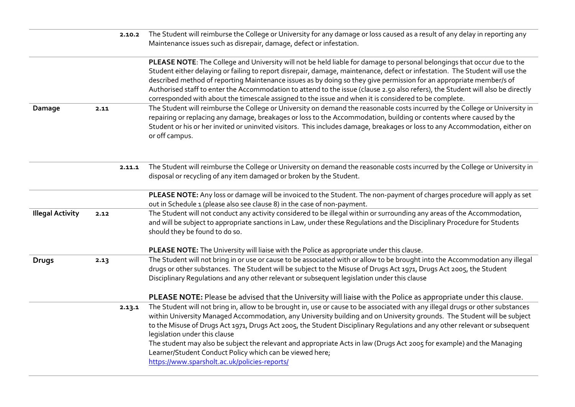|                         |      | 2.10.2 | The Student will reimburse the College or University for any damage or loss caused as a result of any delay in reporting any<br>Maintenance issues such as disrepair, damage, defect or infestation.                                                                                                                                                                                                                                                                                                                                                                                                                                                             |
|-------------------------|------|--------|------------------------------------------------------------------------------------------------------------------------------------------------------------------------------------------------------------------------------------------------------------------------------------------------------------------------------------------------------------------------------------------------------------------------------------------------------------------------------------------------------------------------------------------------------------------------------------------------------------------------------------------------------------------|
|                         |      |        | PLEASE NOTE: The College and University will not be held liable for damage to personal belongings that occur due to the<br>Student either delaying or failing to report disrepair, damage, maintenance, defect or infestation. The Student will use the<br>described method of reporting Maintenance issues as by doing so they give permission for an appropriate member/s of<br>Authorised staff to enter the Accommodation to attend to the issue (clause 2.50 also refers), the Student will also be directly<br>corresponded with about the timescale assigned to the issue and when it is considered to be complete.                                       |
| Damage                  | 2.11 |        | The Student will reimburse the College or University on demand the reasonable costs incurred by the College or University in<br>repairing or replacing any damage, breakages or loss to the Accommodation, building or contents where caused by the<br>Student or his or her invited or uninvited visitors. This includes damage, breakages or loss to any Accommodation, either on<br>or off campus.                                                                                                                                                                                                                                                            |
|                         |      | 2.11.1 | The Student will reimburse the College or University on demand the reasonable costs incurred by the College or University in<br>disposal or recycling of any item damaged or broken by the Student.                                                                                                                                                                                                                                                                                                                                                                                                                                                              |
|                         |      |        | PLEASE NOTE: Any loss or damage will be invoiced to the Student. The non-payment of charges procedure will apply as set<br>out in Schedule 1 (please also see clause 8) in the case of non-payment.                                                                                                                                                                                                                                                                                                                                                                                                                                                              |
| <b>Illegal Activity</b> | 2.12 |        | The Student will not conduct any activity considered to be illegal within or surrounding any areas of the Accommodation,<br>and will be subject to appropriate sanctions in Law, under these Regulations and the Disciplinary Procedure for Students<br>should they be found to do so.                                                                                                                                                                                                                                                                                                                                                                           |
|                         |      |        | PLEASE NOTE: The University will liaise with the Police as appropriate under this clause.                                                                                                                                                                                                                                                                                                                                                                                                                                                                                                                                                                        |
| <b>Drugs</b>            | 2.13 |        | The Student will not bring in or use or cause to be associated with or allow to be brought into the Accommodation any illegal<br>drugs or other substances. The Student will be subject to the Misuse of Drugs Act 1971, Drugs Act 2005, the Student<br>Disciplinary Regulations and any other relevant or subsequent legislation under this clause                                                                                                                                                                                                                                                                                                              |
|                         |      |        | PLEASE NOTE: Please be advised that the University will liaise with the Police as appropriate under this clause.                                                                                                                                                                                                                                                                                                                                                                                                                                                                                                                                                 |
|                         |      | 2.13.1 | The Student will not bring in, allow to be brought in, use or cause to be associated with any illegal drugs or other substances<br>within University Managed Accommodation, any University building and on University grounds. The Student will be subject<br>to the Misuse of Drugs Act 1971, Drugs Act 2005, the Student Disciplinary Regulations and any other relevant or subsequent<br>legislation under this clause<br>The student may also be subject the relevant and appropriate Acts in law (Drugs Act 2005 for example) and the Managing<br>Learner/Student Conduct Policy which can be viewed here;<br>https://www.sparsholt.ac.uk/policies-reports/ |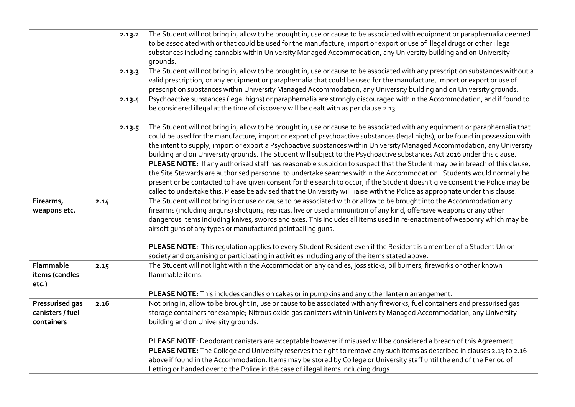|                  |      | 2.13.2 | The Student will not bring in, allow to be brought in, use or cause to be associated with equipment or paraphernalia deemed     |
|------------------|------|--------|---------------------------------------------------------------------------------------------------------------------------------|
|                  |      |        | to be associated with or that could be used for the manufacture, import or export or use of illegal drugs or other illegal      |
|                  |      |        | substances including cannabis within University Managed Accommodation, any University building and on University                |
|                  |      |        | grounds.                                                                                                                        |
|                  |      | 2.13.3 | The Student will not bring in, allow to be brought in, use or cause to be associated with any prescription substances without a |
|                  |      |        | valid prescription, or any equipment or paraphernalia that could be used for the manufacture, import or export or use of        |
|                  |      |        | prescription substances within University Managed Accommodation, any University building and on University grounds.             |
|                  |      | 2.13.4 | Psychoactive substances (legal highs) or paraphernalia are strongly discouraged within the Accommodation, and if found to       |
|                  |      |        | be considered illegal at the time of discovery will be dealt with as per clause 2.13.                                           |
|                  |      |        |                                                                                                                                 |
|                  |      | 2.13.5 | The Student will not bring in, allow to be brought in, use or cause to be associated with any equipment or paraphernalia that   |
|                  |      |        | could be used for the manufacture, import or export of psychoactive substances (legal highs), or be found in possession with    |
|                  |      |        | the intent to supply, import or export a Psychoactive substances within University Managed Accommodation, any University        |
|                  |      |        | building and on University grounds. The Student will subject to the Psychoactive substances Act 2016 under this clause.         |
|                  |      |        | PLEASE NOTE: If any authorised staff has reasonable suspicion to suspect that the Student may be in breach of this clause,      |
|                  |      |        | the Site Stewards are authorised personnel to undertake searches within the Accommodation. Students would normally be           |
|                  |      |        | present or be contacted to have given consent for the search to occur, if the Student doesn't give consent the Police may be    |
|                  |      |        | called to undertake this. Please be advised that the University will liaise with the Police as appropriate under this clause.   |
| Firearms,        | 2.14 |        | The Student will not bring in or use or cause to be associated with or allow to be brought into the Accommodation any           |
| weapons etc.     |      |        | firearms (including airguns) shotguns, replicas, live or used ammunition of any kind, offensive weapons or any other            |
|                  |      |        | dangerous items including knives, swords and axes. This includes all items used in re-enactment of weaponry which may be        |
|                  |      |        | airsoft guns of any types or manufactured paintballing guns.                                                                    |
|                  |      |        |                                                                                                                                 |
|                  |      |        | PLEASE NOTE: This regulation applies to every Student Resident even if the Resident is a member of a Student Union              |
|                  |      |        | society and organising or participating in activities including any of the items stated above.                                  |
| Flammable        | 2.15 |        | The Student will not light within the Accommodation any candles, joss sticks, oil burners, fireworks or other known             |
| items (candles   |      |        | flammable items.                                                                                                                |
| etc.)            |      |        |                                                                                                                                 |
|                  |      |        | PLEASE NOTE: This includes candles on cakes or in pumpkins and any other lantern arrangement.                                   |
| Pressurised gas  | 2.16 |        | Not bring in, allow to be brought in, use or cause to be associated with any fireworks, fuel containers and pressurised gas     |
| canisters / fuel |      |        | storage containers for example; Nitrous oxide gas canisters within University Managed Accommodation, any University             |
| containers       |      |        | building and on University grounds.                                                                                             |
|                  |      |        |                                                                                                                                 |
|                  |      |        | PLEASE NOTE: Deodorant canisters are acceptable however if misused will be considered a breach of this Agreement.               |
|                  |      |        | PLEASE NOTE: The College and University reserves the right to remove any such items as described in clauses 2.13 to 2.16        |
|                  |      |        | above if found in the Accommodation. Items may be stored by College or University staff until the end of the Period of          |
|                  |      |        | Letting or handed over to the Police in the case of illegal items including drugs.                                              |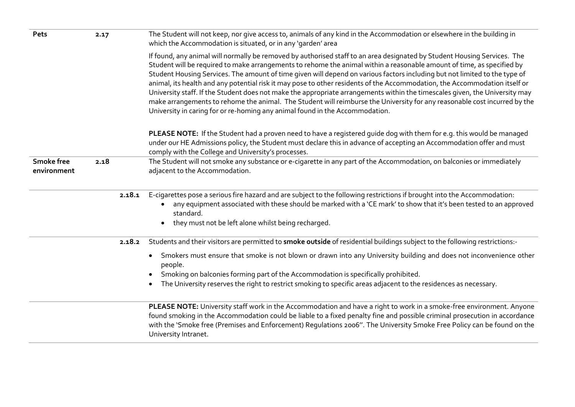| Pets                             | 2.17 | The Student will not keep, nor give access to, animals of any kind in the Accommodation or elsewhere in the building in<br>which the Accommodation is situated, or in any 'garden' area                                                                                                                                                                                                                                                                                                                                                                                                                                                                                                                                                                                                                                                                    |
|----------------------------------|------|------------------------------------------------------------------------------------------------------------------------------------------------------------------------------------------------------------------------------------------------------------------------------------------------------------------------------------------------------------------------------------------------------------------------------------------------------------------------------------------------------------------------------------------------------------------------------------------------------------------------------------------------------------------------------------------------------------------------------------------------------------------------------------------------------------------------------------------------------------|
|                                  |      | If found, any animal will normally be removed by authorised staff to an area designated by Student Housing Services. The<br>Student will be required to make arrangements to rehome the animal within a reasonable amount of time, as specified by<br>Student Housing Services. The amount of time given will depend on various factors including but not limited to the type of<br>animal, its health and any potential risk it may pose to other residents of the Accommodation, the Accommodation itself or<br>University staff. If the Student does not make the appropriate arrangements within the timescales given, the University may<br>make arrangements to rehome the animal. The Student will reimburse the University for any reasonable cost incurred by the<br>University in caring for or re-homing any animal found in the Accommodation. |
|                                  |      | PLEASE NOTE: If the Student had a proven need to have a registered guide dog with them for e.g. this would be managed<br>under our HE Admissions policy, the Student must declare this in advance of accepting an Accommodation offer and must<br>comply with the College and University's processes.                                                                                                                                                                                                                                                                                                                                                                                                                                                                                                                                                      |
| <b>Smoke free</b><br>environment | 2.18 | The Student will not smoke any substance or e-cigarette in any part of the Accommodation, on balconies or immediately<br>adjacent to the Accommodation.                                                                                                                                                                                                                                                                                                                                                                                                                                                                                                                                                                                                                                                                                                    |
|                                  |      | E-cigarettes pose a serious fire hazard and are subject to the following restrictions if brought into the Accommodation:<br>2.18.1<br>any equipment associated with these should be marked with a 'CE mark' to show that it's been tested to an approved<br>standard.<br>they must not be left alone whilst being recharged.<br>$\bullet$                                                                                                                                                                                                                                                                                                                                                                                                                                                                                                                  |
|                                  |      | Students and their visitors are permitted to smoke outside of residential buildings subject to the following restrictions:-<br>2.18.2                                                                                                                                                                                                                                                                                                                                                                                                                                                                                                                                                                                                                                                                                                                      |
|                                  |      | Smokers must ensure that smoke is not blown or drawn into any University building and does not inconvenience other<br>people.<br>Smoking on balconies forming part of the Accommodation is specifically prohibited.                                                                                                                                                                                                                                                                                                                                                                                                                                                                                                                                                                                                                                        |
|                                  |      | The University reserves the right to restrict smoking to specific areas adjacent to the residences as necessary.                                                                                                                                                                                                                                                                                                                                                                                                                                                                                                                                                                                                                                                                                                                                           |
|                                  |      | PLEASE NOTE: University staff work in the Accommodation and have a right to work in a smoke-free environment. Anyone<br>found smoking in the Accommodation could be liable to a fixed penalty fine and possible criminal prosecution in accordance<br>with the 'Smoke free (Premises and Enforcement) Regulations 2006". The University Smoke Free Policy can be found on the<br>University Intranet.                                                                                                                                                                                                                                                                                                                                                                                                                                                      |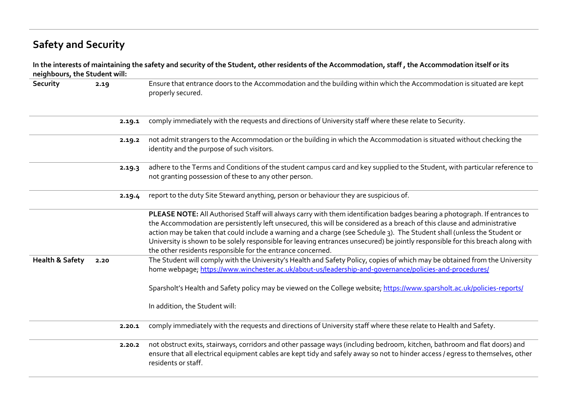# **Safety and Security**

| neighbours, the Student will: |      |        | In the interests of maintaining the safety and security of the Student, other residents of the Accommodation, staff, the Accommodation itself or its                                                                                                                                                                                                                                                                                                                                                                                                                                |
|-------------------------------|------|--------|-------------------------------------------------------------------------------------------------------------------------------------------------------------------------------------------------------------------------------------------------------------------------------------------------------------------------------------------------------------------------------------------------------------------------------------------------------------------------------------------------------------------------------------------------------------------------------------|
| Security                      | 2.19 |        | Ensure that entrance doors to the Accommodation and the building within which the Accommodation is situated are kept<br>properly secured.                                                                                                                                                                                                                                                                                                                                                                                                                                           |
|                               |      | 2.19.1 | comply immediately with the requests and directions of University staff where these relate to Security.                                                                                                                                                                                                                                                                                                                                                                                                                                                                             |
|                               |      | 2.19.2 | not admit strangers to the Accommodation or the building in which the Accommodation is situated without checking the<br>identity and the purpose of such visitors.                                                                                                                                                                                                                                                                                                                                                                                                                  |
|                               |      | 2.19.3 | adhere to the Terms and Conditions of the student campus card and key supplied to the Student, with particular reference to<br>not granting possession of these to any other person.                                                                                                                                                                                                                                                                                                                                                                                                |
|                               |      | 2.19.4 | report to the duty Site Steward anything, person or behaviour they are suspicious of.                                                                                                                                                                                                                                                                                                                                                                                                                                                                                               |
|                               |      |        | PLEASE NOTE: All Authorised Staff will always carry with them identification badges bearing a photograph. If entrances to<br>the Accommodation are persistently left unsecured, this will be considered as a breach of this clause and administrative<br>action may be taken that could include a warning and a charge (see Schedule 3). The Student shall (unless the Student or<br>University is shown to be solely responsible for leaving entrances unsecured) be jointly responsible for this breach along with<br>the other residents responsible for the entrance concerned. |
| <b>Health &amp; Safety</b>    | 2.20 |        | The Student will comply with the University's Health and Safety Policy, copies of which may be obtained from the University<br>home webpage; https://www.winchester.ac.uk/about-us/leadership-and-governance/policies-and-procedures/                                                                                                                                                                                                                                                                                                                                               |
|                               |      |        | Sparsholt's Health and Safety policy may be viewed on the College website; https://www.sparsholt.ac.uk/policies-reports/                                                                                                                                                                                                                                                                                                                                                                                                                                                            |
|                               |      |        | In addition, the Student will:                                                                                                                                                                                                                                                                                                                                                                                                                                                                                                                                                      |
|                               |      | 2.20.1 | comply immediately with the requests and directions of University staff where these relate to Health and Safety.                                                                                                                                                                                                                                                                                                                                                                                                                                                                    |
|                               |      | 2.20.2 | not obstruct exits, stairways, corridors and other passage ways (including bedroom, kitchen, bathroom and flat doors) and<br>ensure that all electrical equipment cables are kept tidy and safely away so not to hinder access / eqress to themselves, other<br>residents or staff.                                                                                                                                                                                                                                                                                                 |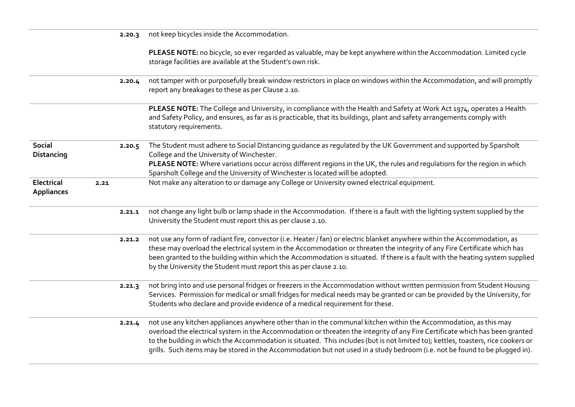|                                    |      | 2.20.3 | not keep bicycles inside the Accommodation.                                                                                                                                                                                                                                                                                                                                                                                                                                                                          |
|------------------------------------|------|--------|----------------------------------------------------------------------------------------------------------------------------------------------------------------------------------------------------------------------------------------------------------------------------------------------------------------------------------------------------------------------------------------------------------------------------------------------------------------------------------------------------------------------|
|                                    |      |        | PLEASE NOTE: no bicycle, so ever regarded as valuable, may be kept anywhere within the Accommodation. Limited cycle<br>storage facilities are available at the Student's own risk.                                                                                                                                                                                                                                                                                                                                   |
|                                    |      | 2.20.4 | not tamper with or purposefully break window restrictors in place on windows within the Accommodation, and will promptly<br>report any breakages to these as per Clause 2.10.                                                                                                                                                                                                                                                                                                                                        |
|                                    |      |        | PLEASE NOTE: The College and University, in compliance with the Health and Safety at Work Act 1974, operates a Health<br>and Safety Policy, and ensures, as far as is practicable, that its buildings, plant and safety arrangements comply with<br>statutory requirements.                                                                                                                                                                                                                                          |
| <b>Social</b><br><b>Distancing</b> |      | 2.20.5 | The Student must adhere to Social Distancing guidance as regulated by the UK Government and supported by Sparsholt<br>College and the University of Winchester.<br>PLEASE NOTE: Where variations occur across different regions in the UK, the rules and regulations for the region in which<br>Sparsholt College and the University of Winchester is located will be adopted.                                                                                                                                       |
| Electrical<br><b>Appliances</b>    | 2.21 |        | Not make any alteration to or damage any College or University owned electrical equipment.                                                                                                                                                                                                                                                                                                                                                                                                                           |
|                                    |      | 2.21.1 | not change any light bulb or lamp shade in the Accommodation. If there is a fault with the lighting system supplied by the<br>University the Student must report this as per clause 2.10.                                                                                                                                                                                                                                                                                                                            |
|                                    |      | 2.21.2 | not use any form of radiant fire, convector (i.e. Heater / fan) or electric blanket anywhere within the Accommodation, as<br>these may overload the electrical system in the Accommodation or threaten the integrity of any Fire Certificate which has<br>been granted to the building within which the Accommodation is situated. If there is a fault with the heating system supplied<br>by the University the Student must report this as per clause 2.10.                                                        |
|                                    |      | 2.21.3 | not bring into and use personal fridges or freezers in the Accommodation without written permission from Student Housing<br>Services. Permission for medical or small fridges for medical needs may be granted or can be provided by the University, for<br>Students who declare and provide evidence of a medical requirement for these.                                                                                                                                                                            |
|                                    |      | 2.21.4 | not use any kitchen appliances anywhere other than in the communal kitchen within the Accommodation, as this may<br>overload the electrical system in the Accommodation or threaten the integrity of any Fire Certificate which has been granted<br>to the building in which the Accommodation is situated. This includes (but is not limited to); kettles, toasters, rice cookers or<br>grills. Such items may be stored in the Accommodation but not used in a study bedroom (i.e. not be found to be plugged in). |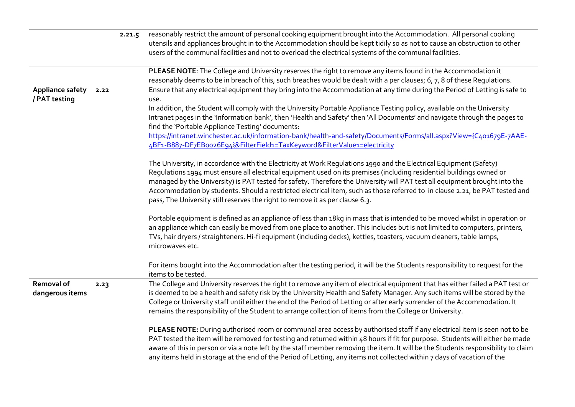|                                   |      | 2.21.5 | reasonably restrict the amount of personal cooking equipment brought into the Accommodation. All personal cooking<br>utensils and appliances brought in to the Accommodation should be kept tidily so as not to cause an obstruction to other<br>users of the communal facilities and not to overload the electrical systems of the communal facilities.                                                                                                                                                                                                                                |
|-----------------------------------|------|--------|-----------------------------------------------------------------------------------------------------------------------------------------------------------------------------------------------------------------------------------------------------------------------------------------------------------------------------------------------------------------------------------------------------------------------------------------------------------------------------------------------------------------------------------------------------------------------------------------|
|                                   |      |        |                                                                                                                                                                                                                                                                                                                                                                                                                                                                                                                                                                                         |
|                                   |      |        | PLEASE NOTE: The College and University reserves the right to remove any items found in the Accommodation it<br>reasonably deems to be in breach of this, such breaches would be dealt with a per clauses; 6, 7, 8 of these Regulations.                                                                                                                                                                                                                                                                                                                                                |
| Appliance safety<br>/ PAT testing | 2.22 |        | Ensure that any electrical equipment they bring into the Accommodation at any time during the Period of Letting is safe to<br>use.                                                                                                                                                                                                                                                                                                                                                                                                                                                      |
|                                   |      |        | In addition, the Student will comply with the University Portable Appliance Testing policy, available on the University<br>Intranet pages in the 'Information bank', then 'Health and Safety' then 'All Documents' and navigate through the pages to<br>find the 'Portable Appliance Testing' documents:                                                                                                                                                                                                                                                                                |
|                                   |      |        | https://intranet.winchester.ac.uk/information-bank/health-and-safety/Documents/Forms/all.aspx?View={C401679E-7AAE-<br>4BF1-B887-DF7EB0026E94}&FilterField1=TaxKeyword&FilterValue1=electricity                                                                                                                                                                                                                                                                                                                                                                                          |
|                                   |      |        | The University, in accordance with the Electricity at Work Regulations 1990 and the Electrical Equipment (Safety)<br>Regulations 1994 must ensure all electrical equipment used on its premises (including residential buildings owned or<br>managed by the University) is PAT tested for safety. Therefore the University will PAT test all equipment brought into the<br>Accommodation by students. Should a restricted electrical item, such as those referred to in clause 2.21, be PAT tested and<br>pass, The University still reserves the right to remove it as per clause 6.3. |
|                                   |      |        | Portable equipment is defined as an appliance of less than 18kg in mass that is intended to be moved whilst in operation or<br>an appliance which can easily be moved from one place to another. This includes but is not limited to computers, printers,<br>TVs, hair dryers / straighteners. Hi-fi equipment (including decks), kettles, toasters, vacuum cleaners, table lamps,<br>microwaves etc.                                                                                                                                                                                   |
|                                   |      |        | For items bought into the Accommodation after the testing period, it will be the Students responsibility to request for the<br>items to be tested.                                                                                                                                                                                                                                                                                                                                                                                                                                      |
| Removal of<br>dangerous items     | 2.23 |        | The College and University reserves the right to remove any item of electrical equipment that has either failed a PAT test or<br>is deemed to be a health and safety risk by the University Health and Safety Manager. Any such items will be stored by the<br>College or University staff until either the end of the Period of Letting or after early surrender of the Accommodation. It<br>remains the responsibility of the Student to arrange collection of items from the College or University.                                                                                  |
|                                   |      |        | PLEASE NOTE: During authorised room or communal area access by authorised staff if any electrical item is seen not to be<br>PAT tested the item will be removed for testing and returned within 48 hours if fit for purpose. Students will either be made<br>aware of this in person or via a note left by the staff member removing the item. It will be the Students responsibility to claim<br>any items held in storage at the end of the Period of Letting, any items not collected within 7 days of vacation of the                                                               |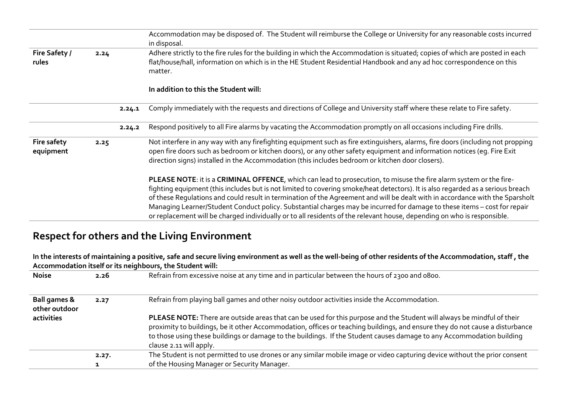|                          |      |        | Accommodation may be disposed of. The Student will reimburse the College or University for any reasonable costs incurred<br>in disposal.                                                                                                                                                                                                                                                                                                                                                                                                                                                                                                      |
|--------------------------|------|--------|-----------------------------------------------------------------------------------------------------------------------------------------------------------------------------------------------------------------------------------------------------------------------------------------------------------------------------------------------------------------------------------------------------------------------------------------------------------------------------------------------------------------------------------------------------------------------------------------------------------------------------------------------|
| Fire Safety /<br>rules   | 2.24 |        | Adhere strictly to the fire rules for the building in which the Accommodation is situated; copies of which are posted in each<br>flat/house/hall, information on which is in the HE Student Residential Handbook and any ad hoc correspondence on this<br>matter.                                                                                                                                                                                                                                                                                                                                                                             |
|                          |      |        | In addition to this the Student will:                                                                                                                                                                                                                                                                                                                                                                                                                                                                                                                                                                                                         |
|                          |      | 2.24.1 | Comply immediately with the requests and directions of College and University staff where these relate to Fire safety.                                                                                                                                                                                                                                                                                                                                                                                                                                                                                                                        |
|                          |      | 2.24.2 | Respond positively to all Fire alarms by vacating the Accommodation promptly on all occasions including Fire drills.                                                                                                                                                                                                                                                                                                                                                                                                                                                                                                                          |
| Fire safety<br>equipment | 2.25 |        | Not interfere in any way with any firefighting equipment such as fire extinguishers, alarms, fire doors (including not propping<br>open fire doors such as bedroom or kitchen doors), or any other safety equipment and information notices (eq. Fire Exit<br>direction signs) installed in the Accommodation (this includes bedroom or kitchen door closers).                                                                                                                                                                                                                                                                                |
|                          |      |        | PLEASE NOTE: it is a CRIMINAL OFFENCE, which can lead to prosecution, to misuse the fire alarm system or the fire-<br>fighting equipment (this includes but is not limited to covering smoke/heat detectors). It is also regarded as a serious breach<br>of these Requlations and could result in termination of the Agreement and will be dealt with in accordance with the Sparsholt<br>Managing Learner/Student Conduct policy. Substantial charges may be incurred for damage to these items - cost for repair<br>or replacement will be charged individually or to all residents of the relevant house, depending on who is responsible. |

# **Respect for others and the Living Environment**

**In the interests of maintaining a positive, safe and secure living environment as well as the well-being of other residents of the Accommodation, staff , the Accommodation itself or its neighbours, the Student will:**

| <b>Noise</b>                             | 2.26  | Refrain from excessive noise at any time and in particular between the hours of 2300 and 0800.                                                                                                                                                                                                                                                                                                             |
|------------------------------------------|-------|------------------------------------------------------------------------------------------------------------------------------------------------------------------------------------------------------------------------------------------------------------------------------------------------------------------------------------------------------------------------------------------------------------|
| <b>Ball games &amp;</b><br>other outdoor | 2.27  | Refrain from playing ball games and other noisy outdoor activities inside the Accommodation.                                                                                                                                                                                                                                                                                                               |
| activities                               |       | PLEASE NOTE: There are outside areas that can be used for this purpose and the Student will always be mindful of their<br>proximity to buildings, be it other Accommodation, offices or teaching buildings, and ensure they do not cause a disturbance<br>to those using these buildings or damage to the buildings. If the Student causes damage to any Accommodation building<br>clause 2.11 will apply. |
|                                          | 2.27. | The Student is not permitted to use drones or any similar mobile image or video capturing device without the prior consent                                                                                                                                                                                                                                                                                 |
|                                          |       | of the Housing Manager or Security Manager.                                                                                                                                                                                                                                                                                                                                                                |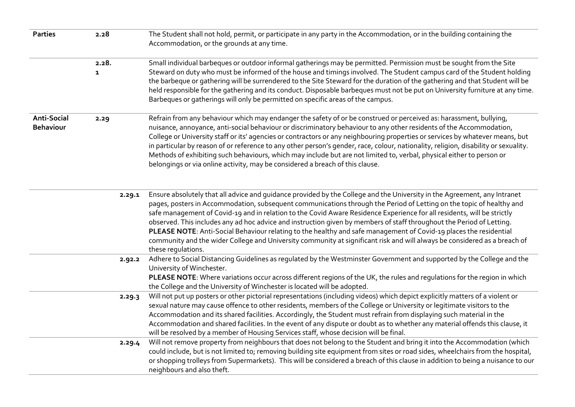| <b>Parties</b>                         | 2.28                  | The Student shall not hold, permit, or participate in any party in the Accommodation, or in the building containing the<br>Accommodation, or the grounds at any time.                                                                                                                                                                                                                                                                                                                                                                                                                                                                                                                                                                                                                  |
|----------------------------------------|-----------------------|----------------------------------------------------------------------------------------------------------------------------------------------------------------------------------------------------------------------------------------------------------------------------------------------------------------------------------------------------------------------------------------------------------------------------------------------------------------------------------------------------------------------------------------------------------------------------------------------------------------------------------------------------------------------------------------------------------------------------------------------------------------------------------------|
|                                        | 2.28.<br>$\mathbf{1}$ | Small individual barbeques or outdoor informal gatherings may be permitted. Permission must be sought from the Site<br>Steward on duty who must be informed of the house and timings involved. The Student campus card of the Student holding<br>the barbeque or gathering will be surrendered to the Site Steward for the duration of the gathering and that Student will be<br>held responsible for the gathering and its conduct. Disposable barbeques must not be put on University furniture at any time.<br>Barbeques or gatherings will only be permitted on specific areas of the campus.                                                                                                                                                                                      |
| <b>Anti-Social</b><br><b>Behaviour</b> | 2.29                  | Refrain from any behaviour which may endanger the safety of or be construed or perceived as: harassment, bullying,<br>nuisance, annoyance, anti-social behaviour or discriminatory behaviour to any other residents of the Accommodation,<br>College or University staff or its' agencies or contractors or any neighbouring properties or services by whatever means, but<br>in particular by reason of or reference to any other person's gender, race, colour, nationality, religion, disability or sexuality.<br>Methods of exhibiting such behaviours, which may include but are not limited to, verbal, physical either to person or<br>belongings or via online activity, may be considered a breach of this clause.                                                            |
|                                        |                       | Ensure absolutely that all advice and guidance provided by the College and the University in the Agreement, any Intranet<br>2.29.1<br>pages, posters in Accommodation, subsequent communications through the Period of Letting on the topic of healthy and<br>safe management of Covid-19 and in relation to the Covid Aware Residence Experience for all residents, will be strictly<br>observed. This includes any ad hoc advice and instruction given by members of staff throughout the Period of Letting.<br>PLEASE NOTE: Anti-Social Behaviour relating to the healthy and safe management of Covid-19 places the residential<br>community and the wider College and University community at significant risk and will always be considered as a breach of<br>these regulations. |
|                                        |                       | Adhere to Social Distancing Guidelines as regulated by the Westminster Government and supported by the College and the<br>2.92.2<br>University of Winchester.<br>PLEASE NOTE: Where variations occur across different regions of the UK, the rules and regulations for the region in which<br>the College and the University of Winchester is located will be adopted.                                                                                                                                                                                                                                                                                                                                                                                                                 |
|                                        |                       | Will not put up posters or other pictorial representations (including videos) which depict explicitly matters of a violent or<br>2.29.3<br>sexual nature may cause offence to other residents, members of the College or University or legitimate visitors to the<br>Accommodation and its shared facilities. Accordingly, the Student must refrain from displaying such material in the<br>Accommodation and shared facilities. In the event of any dispute or doubt as to whether any material offends this clause, it<br>will be resolved by a member of Housing Services staff, whose decision will be final.                                                                                                                                                                      |
|                                        |                       | Will not remove property from neighbours that does not belong to the Student and bring it into the Accommodation (which<br>2.29.4<br>could include, but is not limited to; removing building site equipment from sites or road sides, wheelchairs from the hospital,<br>or shopping trolleys from Supermarkets). This will be considered a breach of this clause in addition to being a nuisance to our<br>neighbours and also theft.                                                                                                                                                                                                                                                                                                                                                  |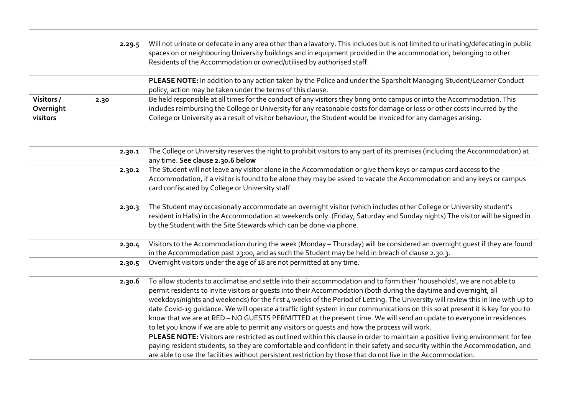|                                     |      | 2.29.5 | Will not urinate or defecate in any area other than a lavatory. This includes but is not limited to urinating/defecating in public<br>spaces on or neighbouring University buildings and in equipment provided in the accommodation, belonging to other<br>Residents of the Accommodation or owned/utilised by authorised staff.                                                                                                                                                                                                                                                                                                                                                                                                              |
|-------------------------------------|------|--------|-----------------------------------------------------------------------------------------------------------------------------------------------------------------------------------------------------------------------------------------------------------------------------------------------------------------------------------------------------------------------------------------------------------------------------------------------------------------------------------------------------------------------------------------------------------------------------------------------------------------------------------------------------------------------------------------------------------------------------------------------|
|                                     |      |        | PLEASE NOTE: In addition to any action taken by the Police and under the Sparsholt Managing Student/Learner Conduct<br>policy, action may be taken under the terms of this clause.                                                                                                                                                                                                                                                                                                                                                                                                                                                                                                                                                            |
| Visitors /<br>Overnight<br>visitors | 2.30 |        | Be held responsible at all times for the conduct of any visitors they bring onto campus or into the Accommodation. This<br>includes reimbursing the College or University for any reasonable costs for damage or loss or other costs incurred by the<br>College or University as a result of visitor behaviour, the Student would be invoiced for any damages arising.                                                                                                                                                                                                                                                                                                                                                                        |
|                                     |      | 2.30.1 | The College or University reserves the right to prohibit visitors to any part of its premises (including the Accommodation) at<br>any time. See clause 2.30.6 below                                                                                                                                                                                                                                                                                                                                                                                                                                                                                                                                                                           |
|                                     |      | 2.30.2 | The Student will not leave any visitor alone in the Accommodation or give them keys or campus card access to the<br>Accommodation, if a visitor is found to be alone they may be asked to vacate the Accommodation and any keys or campus<br>card confiscated by College or University staff                                                                                                                                                                                                                                                                                                                                                                                                                                                  |
|                                     |      | 2.30.3 | The Student may occasionally accommodate an overnight visitor (which includes other College or University student's<br>resident in Halls) in the Accommodation at weekends only. (Friday, Saturday and Sunday nights) The visitor will be signed in<br>by the Student with the Site Stewards which can be done via phone.                                                                                                                                                                                                                                                                                                                                                                                                                     |
|                                     |      | 2.30.4 | Visitors to the Accommodation during the week (Monday - Thursday) will be considered an overnight guest if they are found<br>in the Accommodation past 23:00, and as such the Student may be held in breach of clause 2.30.3.                                                                                                                                                                                                                                                                                                                                                                                                                                                                                                                 |
|                                     |      | 2.30.5 | Overnight visitors under the age of 18 are not permitted at any time.                                                                                                                                                                                                                                                                                                                                                                                                                                                                                                                                                                                                                                                                         |
|                                     |      | 2.30.6 | To allow students to acclimatise and settle into their accommodation and to form their 'households', we are not able to<br>permit residents to invite visitors or guests into their Accommodation (both during the daytime and overnight, all<br>weekdays/nights and weekends) for the first 4 weeks of the Period of Letting. The University will review this in line with up to<br>date Covid-19 quidance. We will operate a traffic light system in our communications on this so at present it is key for you to<br>know that we are at RED - NO GUESTS PERMITTED at the present time. We will send an update to everyone in residences<br>to let you know if we are able to permit any visitors or quests and how the process will work. |
|                                     |      |        | PLEASE NOTE: Visitors are restricted as outlined within this clause in order to maintain a positive living environment for fee<br>paying resident students, so they are comfortable and confident in their safety and security within the Accommodation, and<br>are able to use the facilities without persistent restriction by those that do not live in the Accommodation.                                                                                                                                                                                                                                                                                                                                                                 |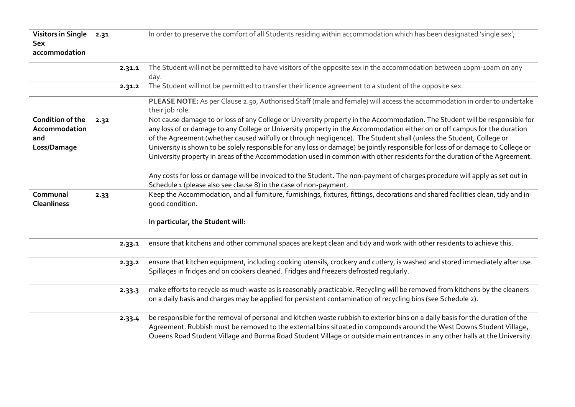| Visitors in Single 2.31<br><b>Sex</b><br>accommodation         |      |        | In order to preserve the comfort of all Students residing within accommodation which has been designated 'single sex';                                                                                                                                                                                                                                                                                                                                                                                                                                                                                                                         |
|----------------------------------------------------------------|------|--------|------------------------------------------------------------------------------------------------------------------------------------------------------------------------------------------------------------------------------------------------------------------------------------------------------------------------------------------------------------------------------------------------------------------------------------------------------------------------------------------------------------------------------------------------------------------------------------------------------------------------------------------------|
|                                                                |      | 2.31.1 | The Student will not be permitted to have visitors of the opposite sex in the accommodation between 10pm-10am on any<br>day.                                                                                                                                                                                                                                                                                                                                                                                                                                                                                                                   |
|                                                                |      | 2.31.2 | The Student will not be permitted to transfer their licence agreement to a student of the opposite sex.                                                                                                                                                                                                                                                                                                                                                                                                                                                                                                                                        |
|                                                                |      |        | PLEASE NOTE: As per Clause 2.50, Authorised Staff (male and female) will access the accommodation in order to undertake<br>their job role.                                                                                                                                                                                                                                                                                                                                                                                                                                                                                                     |
| <b>Condition of the</b><br>Accommodation<br>and<br>Loss/Damage | 2.32 |        | Not cause damage to or loss of any College or University property in the Accommodation. The Student will be responsible for<br>any loss of or damage to any College or University property in the Accommodation either on or off campus for the duration<br>of the Agreement (whether caused wilfully or through negligence). The Student shall (unless the Student, College or<br>University is shown to be solely responsible for any loss or damage) be jointly responsible for loss of or damage to College or<br>University property in areas of the Accommodation used in common with other residents for the duration of the Agreement. |
|                                                                |      |        | Any costs for loss or damage will be invoiced to the Student. The non-payment of charges procedure will apply as set out in<br>Schedule 1 (please also see clause 8) in the case of non-payment.                                                                                                                                                                                                                                                                                                                                                                                                                                               |
| Communal<br><b>Cleanliness</b>                                 | 2.33 |        | Keep the Accommodation, and all furniture, furnishings, fixtures, fittings, decorations and shared facilities clean, tidy and in<br>good condition.                                                                                                                                                                                                                                                                                                                                                                                                                                                                                            |
|                                                                |      |        | In particular, the Student will:                                                                                                                                                                                                                                                                                                                                                                                                                                                                                                                                                                                                               |
|                                                                |      | 2.33.1 | ensure that kitchens and other communal spaces are kept clean and tidy and work with other residents to achieve this.                                                                                                                                                                                                                                                                                                                                                                                                                                                                                                                          |
|                                                                |      | 2.33.2 | ensure that kitchen equipment, including cooking utensils, crockery and cutlery, is washed and stored immediately after use.<br>Spillages in fridges and on cookers cleaned. Fridges and freezers defrosted regularly.                                                                                                                                                                                                                                                                                                                                                                                                                         |
|                                                                |      | 2.33.3 | make efforts to recycle as much waste as is reasonably practicable. Recycling will be removed from kitchens by the cleaners<br>on a daily basis and charges may be applied for persistent contamination of recycling bins (see Schedule 2).                                                                                                                                                                                                                                                                                                                                                                                                    |
|                                                                |      | 2.33.4 | be responsible for the removal of personal and kitchen waste rubbish to exterior bins on a daily basis for the duration of the<br>Agreement. Rubbish must be removed to the external bins situated in compounds around the West Downs Student Village,<br>Queens Road Student Village and Burma Road Student Village or outside main entrances in any other halls at the University.                                                                                                                                                                                                                                                           |
|                                                                |      |        |                                                                                                                                                                                                                                                                                                                                                                                                                                                                                                                                                                                                                                                |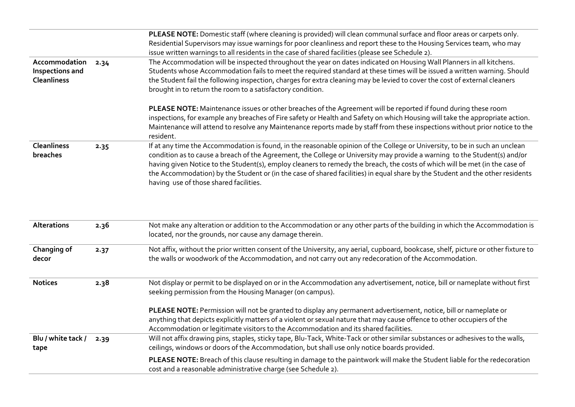|      | PLEASE NOTE: Domestic staff (where cleaning is provided) will clean communal surface and floor areas or carpets only.<br>Residential Supervisors may issue warnings for poor cleanliness and report these to the Housing Services team, who may<br>issue written warnings to all residents in the case of shared facilities (please see Schedule 2).                                                                                                                                                                                                               |
|------|--------------------------------------------------------------------------------------------------------------------------------------------------------------------------------------------------------------------------------------------------------------------------------------------------------------------------------------------------------------------------------------------------------------------------------------------------------------------------------------------------------------------------------------------------------------------|
| 2.34 | The Accommodation will be inspected throughout the year on dates indicated on Housing Wall Planners in all kitchens.<br>Students whose Accommodation fails to meet the required standard at these times will be issued a written warning. Should<br>the Student fail the following inspection, charges for extra cleaning may be levied to cover the cost of external cleaners<br>brought in to return the room to a satisfactory condition.                                                                                                                       |
|      | PLEASE NOTE: Maintenance issues or other breaches of the Agreement will be reported if found during these room<br>inspections, for example any breaches of Fire safety or Health and Safety on which Housing will take the appropriate action.<br>Maintenance will attend to resolve any Maintenance reports made by staff from these inspections without prior notice to the<br>resident.                                                                                                                                                                         |
| 2.35 | If at any time the Accommodation is found, in the reasonable opinion of the College or University, to be in such an unclean<br>condition as to cause a breach of the Agreement, the College or University may provide a warning to the Student(s) and/or<br>having given Notice to the Student(s), employ cleaners to remedy the breach, the costs of which will be met (in the case of<br>the Accommodation) by the Student or (in the case of shared facilities) in equal share by the Student and the other residents<br>having use of those shared facilities. |
|      |                                                                                                                                                                                                                                                                                                                                                                                                                                                                                                                                                                    |

| <b>Alterations</b>         | 2.36 | Not make any alteration or addition to the Accommodation or any other parts of the building in which the Accommodation is<br>located, nor the grounds, nor cause any damage therein.                                                                                                                                                |
|----------------------------|------|-------------------------------------------------------------------------------------------------------------------------------------------------------------------------------------------------------------------------------------------------------------------------------------------------------------------------------------|
| Changing of<br>decor       | 2.37 | Not affix, without the prior written consent of the University, any aerial, cupboard, bookcase, shelf, picture or other fixture to<br>the walls or woodwork of the Accommodation, and not carry out any redecoration of the Accommodation.                                                                                          |
| <b>Notices</b>             | 2.38 | Not display or permit to be displayed on or in the Accommodation any advertisement, notice, bill or nameplate without first<br>seeking permission from the Housing Manager (on campus).                                                                                                                                             |
|                            |      | PLEASE NOTE: Permission will not be granted to display any permanent advertisement, notice, bill or nameplate or<br>anything that depicts explicitly matters of a violent or sexual nature that may cause offence to other occupiers of the<br>Accommodation or legitimate visitors to the Accommodation and its shared facilities. |
| Blu / white tack /<br>tape | 2.39 | Will not affix drawing pins, staples, sticky tape, Blu-Tack, White-Tack or other similar substances or adhesives to the walls,<br>ceilings, windows or doors of the Accommodation, but shall use only notice boards provided.                                                                                                       |
|                            |      | PLEASE NOTE: Breach of this clause resulting in damage to the paintwork will make the Student liable for the redecoration<br>cost and a reasonable administrative charge (see Schedule 2).                                                                                                                                          |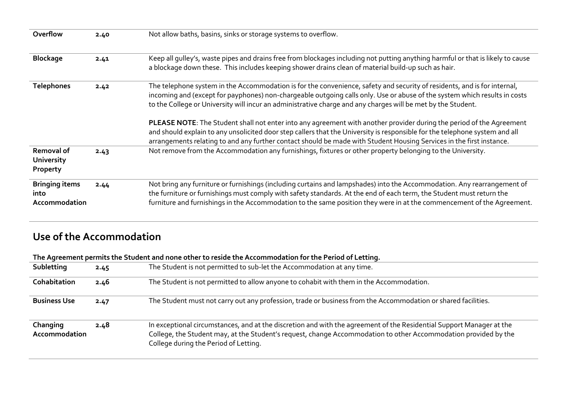| Overflow                                       | 2.40 | Not allow baths, basins, sinks or storage systems to overflow.                                                                                                                                                                                                                                                                                                              |
|------------------------------------------------|------|-----------------------------------------------------------------------------------------------------------------------------------------------------------------------------------------------------------------------------------------------------------------------------------------------------------------------------------------------------------------------------|
| <b>Blockage</b>                                | 2.41 | Keep all gulley's, waste pipes and drains free from blockages including not putting anything harmful or that is likely to cause<br>a blockage down these. This includes keeping shower drains clean of material build-up such as hair.                                                                                                                                      |
| <b>Telephones</b>                              | 2.42 | The telephone system in the Accommodation is for the convenience, safety and security of residents, and is for internal,<br>incoming and (except for payphones) non-chargeable outgoing calls only. Use or abuse of the system which results in costs<br>to the College or University will incur an administrative charge and any charges will be met by the Student.       |
|                                                |      | PLEASE NOTE: The Student shall not enter into any agreement with another provider during the period of the Agreement<br>and should explain to any unsolicited door step callers that the University is responsible for the telephone system and all<br>arrangements relating to and any further contact should be made with Student Housing Services in the first instance. |
| Removal of<br><b>University</b><br>Property    | 2.43 | Not remove from the Accommodation any furnishings, fixtures or other property belonging to the University.                                                                                                                                                                                                                                                                  |
| <b>Bringing items</b><br>into<br>Accommodation | 2.44 | Not bring any furniture or furnishings (including curtains and lampshades) into the Accommodation. Any rearrangement of<br>the furniture or furnishings must comply with safety standards. At the end of each term, the Student must return the<br>furniture and furnishings in the Accommodation to the same position they were in at the commencement of the Agreement.   |

# **Use of the Accommodation**

## **The Agreement permits the Student and none other to reside the Accommodation for the Period of Letting.**

| Subletting                | 2.45 | The Student is not permitted to sub-let the Accommodation at any time.                                                                                                                                                                                                           |
|---------------------------|------|----------------------------------------------------------------------------------------------------------------------------------------------------------------------------------------------------------------------------------------------------------------------------------|
| <b>Cohabitation</b>       | 2.46 | The Student is not permitted to allow anyone to cohabit with them in the Accommodation.                                                                                                                                                                                          |
| <b>Business Use</b>       | 2.47 | The Student must not carry out any profession, trade or business from the Accommodation or shared facilities.                                                                                                                                                                    |
| Changing<br>Accommodation | 2.48 | In exceptional circumstances, and at the discretion and with the agreement of the Residential Support Manager at the<br>College, the Student may, at the Student's request, change Accommodation to other Accommodation provided by the<br>College during the Period of Letting. |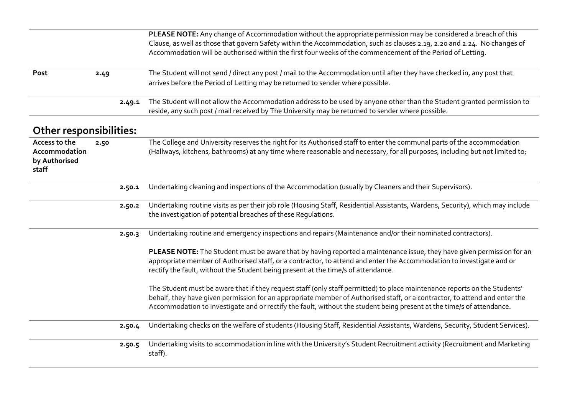|                                                          |      |        | PLEASE NOTE: Any change of Accommodation without the appropriate permission may be considered a breach of this<br>Clause, as well as those that govern Safety within the Accommodation, such as clauses 2.19, 2.20 and 2.24. No changes of<br>Accommodation will be authorised within the first four weeks of the commencement of the Period of Letting.                         |
|----------------------------------------------------------|------|--------|----------------------------------------------------------------------------------------------------------------------------------------------------------------------------------------------------------------------------------------------------------------------------------------------------------------------------------------------------------------------------------|
| Post                                                     | 2.49 |        | The Student will not send / direct any post / mail to the Accommodation until after they have checked in, any post that<br>arrives before the Period of Letting may be returned to sender where possible.                                                                                                                                                                        |
|                                                          |      | 2.49.1 | The Student will not allow the Accommodation address to be used by anyone other than the Student granted permission to<br>reside, any such post / mail received by The University may be returned to sender where possible.                                                                                                                                                      |
| <b>Other responsibilities:</b>                           |      |        |                                                                                                                                                                                                                                                                                                                                                                                  |
| Access to the<br>Accommodation<br>by Authorised<br>staff | 2.50 |        | The College and University reserves the right for its Authorised staff to enter the communal parts of the accommodation<br>(Hallways, kitchens, bathrooms) at any time where reasonable and necessary, for all purposes, including but not limited to;                                                                                                                           |
|                                                          |      | 2.50.1 | Undertaking cleaning and inspections of the Accommodation (usually by Cleaners and their Supervisors).                                                                                                                                                                                                                                                                           |
|                                                          |      | 2.50.2 | Undertaking routine visits as per their job role (Housing Staff, Residential Assistants, Wardens, Security), which may include<br>the investigation of potential breaches of these Regulations.                                                                                                                                                                                  |
|                                                          |      | 2.50.3 | Undertaking routine and emergency inspections and repairs (Maintenance and/or their nominated contractors).                                                                                                                                                                                                                                                                      |
|                                                          |      |        | PLEASE NOTE: The Student must be aware that by having reported a maintenance issue, they have given permission for an<br>appropriate member of Authorised staff, or a contractor, to attend and enter the Accommodation to investigate and or<br>rectify the fault, without the Student being present at the time/s of attendance.                                               |
|                                                          |      |        | The Student must be aware that if they request staff (only staff permitted) to place maintenance reports on the Students'<br>behalf, they have given permission for an appropriate member of Authorised staff, or a contractor, to attend and enter the<br>Accommodation to investigate and or rectify the fault, without the student being present at the time/s of attendance. |
|                                                          |      | 2.50.4 | Undertaking checks on the welfare of students (Housing Staff, Residential Assistants, Wardens, Security, Student Services).                                                                                                                                                                                                                                                      |
|                                                          |      | 2.50.5 | Undertaking visits to accommodation in line with the University's Student Recruitment activity (Recruitment and Marketing<br>staff).                                                                                                                                                                                                                                             |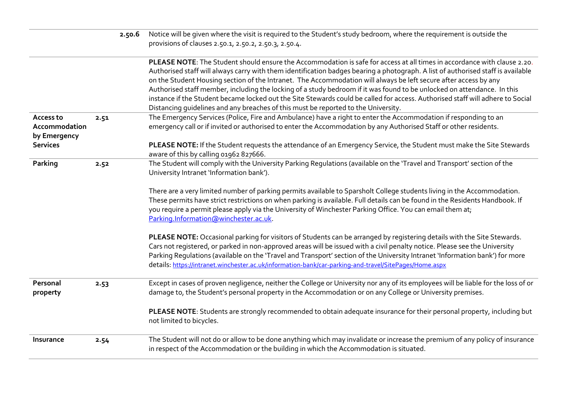|                                            |      | 2.50.6 | Notice will be given where the visit is required to the Student's study bedroom, where the requirement is outside the<br>provisions of clauses 2.50.1, 2.50.2, 2.50.3, 2.50.4.                                                                                                                                                                                                                                                                                                                                                                                                                                                                                                                                                      |
|--------------------------------------------|------|--------|-------------------------------------------------------------------------------------------------------------------------------------------------------------------------------------------------------------------------------------------------------------------------------------------------------------------------------------------------------------------------------------------------------------------------------------------------------------------------------------------------------------------------------------------------------------------------------------------------------------------------------------------------------------------------------------------------------------------------------------|
|                                            |      |        | PLEASE NOTE: The Student should ensure the Accommodation is safe for access at all times in accordance with clause 2.20.<br>Authorised staff will always carry with them identification badges bearing a photograph. A list of authorised staff is available<br>on the Student Housing section of the Intranet. The Accommodation will always be left secure after access by any<br>Authorised staff member, including the locking of a study bedroom if it was found to be unlocked on attendance. In this<br>instance if the Student became locked out the Site Stewards could be called for access. Authorised staff will adhere to Social<br>Distancing guidelines and any breaches of this must be reported to the University. |
| Access to<br>Accommodation<br>by Emergency | 2.51 |        | The Emergency Services (Police, Fire and Ambulance) have a right to enter the Accommodation if responding to an<br>emergency call or if invited or authorised to enter the Accommodation by any Authorised Staff or other residents.                                                                                                                                                                                                                                                                                                                                                                                                                                                                                                |
| <b>Services</b>                            |      |        | PLEASE NOTE: If the Student requests the attendance of an Emergency Service, the Student must make the Site Stewards<br>aware of this by calling 01962 827666.                                                                                                                                                                                                                                                                                                                                                                                                                                                                                                                                                                      |
| Parking                                    | 2.52 |        | The Student will comply with the University Parking Regulations (available on the 'Travel and Transport' section of the<br>University Intranet 'Information bank').                                                                                                                                                                                                                                                                                                                                                                                                                                                                                                                                                                 |
|                                            |      |        | There are a very limited number of parking permits available to Sparsholt College students living in the Accommodation.<br>These permits have strict restrictions on when parking is available. Full details can be found in the Residents Handbook. If<br>you require a permit please apply via the University of Winchester Parking Office. You can email them at;<br>Parking.Information@winchester.ac.uk                                                                                                                                                                                                                                                                                                                        |
|                                            |      |        | PLEASE NOTE: Occasional parking for visitors of Students can be arranged by registering details with the Site Stewards.<br>Cars not registered, or parked in non-approved areas will be issued with a civil penalty notice. Please see the University<br>Parking Regulations (available on the 'Travel and Transport' section of the University Intranet 'Information bank') for more<br>details: https://intranet.winchester.ac.uk/information-bank/car-parking-and-travel/SitePages/Home.aspx                                                                                                                                                                                                                                     |
| Personal<br>property                       | 2.53 |        | Except in cases of proven negligence, neither the College or University nor any of its employees will be liable for the loss of or<br>damage to, the Student's personal property in the Accommodation or on any College or University premises.                                                                                                                                                                                                                                                                                                                                                                                                                                                                                     |
|                                            |      |        | PLEASE NOTE: Students are strongly recommended to obtain adequate insurance for their personal property, including but<br>not limited to bicycles.                                                                                                                                                                                                                                                                                                                                                                                                                                                                                                                                                                                  |
| Insurance                                  | 2.54 |        | The Student will not do or allow to be done anything which may invalidate or increase the premium of any policy of insurance<br>in respect of the Accommodation or the building in which the Accommodation is situated.                                                                                                                                                                                                                                                                                                                                                                                                                                                                                                             |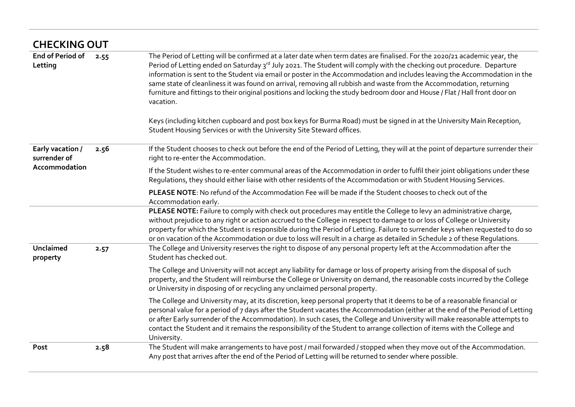|                                    | <b>CHECKING OUT</b> |                                                                                                                                                                                                                                                                                                                                                                                                                                                                                                                                                                                                                                                    |  |  |  |
|------------------------------------|---------------------|----------------------------------------------------------------------------------------------------------------------------------------------------------------------------------------------------------------------------------------------------------------------------------------------------------------------------------------------------------------------------------------------------------------------------------------------------------------------------------------------------------------------------------------------------------------------------------------------------------------------------------------------------|--|--|--|
| <b>End of Period of</b><br>Letting | 2.55                | The Period of Letting will be confirmed at a later date when term dates are finalised. For the 2020/21 academic year, the<br>Period of Letting ended on Saturday 3rd July 2021. The Student will comply with the checking out procedure. Departure<br>information is sent to the Student via email or poster in the Accommodation and includes leaving the Accommodation in the<br>same state of cleanliness it was found on arrival, removing all rubbish and waste from the Accommodation, returning<br>furniture and fittings to their original positions and locking the study bedroom door and House / Flat / Hall front door on<br>vacation. |  |  |  |
|                                    |                     | Keys (including kitchen cupboard and post box keys for Burma Road) must be signed in at the University Main Reception,<br>Student Housing Services or with the University Site Steward offices.                                                                                                                                                                                                                                                                                                                                                                                                                                                    |  |  |  |
| Early vacation /<br>surrender of   | 2.56                | If the Student chooses to check out before the end of the Period of Letting, they will at the point of departure surrender their<br>right to re-enter the Accommodation.                                                                                                                                                                                                                                                                                                                                                                                                                                                                           |  |  |  |
| Accommodation                      |                     | If the Student wishes to re-enter communal areas of the Accommodation in order to fulfil their joint obligations under these<br>Regulations, they should either liaise with other residents of the Accommodation or with Student Housing Services.                                                                                                                                                                                                                                                                                                                                                                                                 |  |  |  |
|                                    |                     | PLEASE NOTE: No refund of the Accommodation Fee will be made if the Student chooses to check out of the<br>Accommodation early.                                                                                                                                                                                                                                                                                                                                                                                                                                                                                                                    |  |  |  |
|                                    |                     | PLEASE NOTE: Failure to comply with check out procedures may entitle the College to levy an administrative charge,<br>without prejudice to any right or action accrued to the College in respect to damage to or loss of College or University<br>property for which the Student is responsible during the Period of Letting. Failure to surrender keys when requested to do so<br>or on vacation of the Accommodation or due to loss will result in a charge as detailed in Schedule 2 of these Regulations.                                                                                                                                      |  |  |  |
| Unclaimed<br>property              | 2.57                | The College and University reserves the right to dispose of any personal property left at the Accommodation after the<br>Student has checked out.                                                                                                                                                                                                                                                                                                                                                                                                                                                                                                  |  |  |  |
|                                    |                     | The College and University will not accept any liability for damage or loss of property arising from the disposal of such<br>property, and the Student will reimburse the College or University on demand, the reasonable costs incurred by the College<br>or University in disposing of or recycling any unclaimed personal property.                                                                                                                                                                                                                                                                                                             |  |  |  |
|                                    |                     | The College and University may, at its discretion, keep personal property that it deems to be of a reasonable financial or<br>personal value for a period of 7 days after the Student vacates the Accommodation (either at the end of the Period of Letting<br>or after Early surrender of the Accommodation). In such cases, the College and University will make reasonable attempts to<br>contact the Student and it remains the responsibility of the Student to arrange collection of items with the College and<br>University.                                                                                                               |  |  |  |
| Post                               | 2.58                | The Student will make arrangements to have post / mail forwarded / stopped when they move out of the Accommodation.<br>Any post that arrives after the end of the Period of Letting will be returned to sender where possible.                                                                                                                                                                                                                                                                                                                                                                                                                     |  |  |  |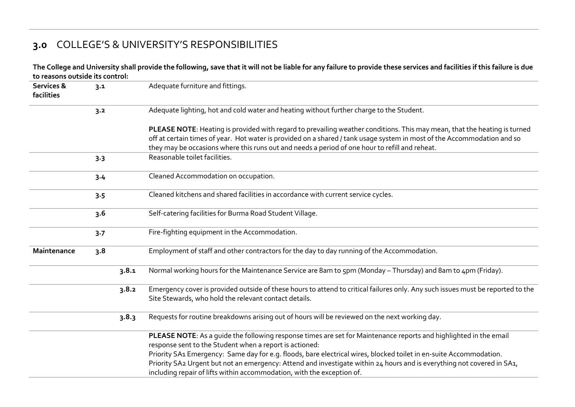# **3.0** COLLEGE'S & UNIVERSITY'S RESPONSIBILITIES

**The College and University shall provide the following, save that it will not be liable for any failure to provide these services and facilities if this failure is due to reasons outside its control:**

| 3.2<br>$3-3$ | Adequate lighting, hot and cold water and heating without further charge to the Student.<br>PLEASE NOTE: Heating is provided with regard to prevailing weather conditions. This may mean, that the heating is turned<br>off at certain times of year. Hot water is provided on a shared / tank usage system in most of the Accommodation and so<br>they may be occasions where this runs out and needs a period of one hour to refill and reheat.<br>Reasonable toilet facilities.                     |
|--------------|--------------------------------------------------------------------------------------------------------------------------------------------------------------------------------------------------------------------------------------------------------------------------------------------------------------------------------------------------------------------------------------------------------------------------------------------------------------------------------------------------------|
|              |                                                                                                                                                                                                                                                                                                                                                                                                                                                                                                        |
|              |                                                                                                                                                                                                                                                                                                                                                                                                                                                                                                        |
|              |                                                                                                                                                                                                                                                                                                                                                                                                                                                                                                        |
| 3.4          | Cleaned Accommodation on occupation.                                                                                                                                                                                                                                                                                                                                                                                                                                                                   |
| 3.5          | Cleaned kitchens and shared facilities in accordance with current service cycles.                                                                                                                                                                                                                                                                                                                                                                                                                      |
| 3.6          | Self-catering facilities for Burma Road Student Village.                                                                                                                                                                                                                                                                                                                                                                                                                                               |
| 3.7          | Fire-fighting equipment in the Accommodation.                                                                                                                                                                                                                                                                                                                                                                                                                                                          |
| 3.8          | Employment of staff and other contractors for the day to day running of the Accommodation.                                                                                                                                                                                                                                                                                                                                                                                                             |
| 3.8.1        | Normal working hours for the Maintenance Service are 8am to 5pm (Monday - Thursday) and 8am to 4pm (Friday).                                                                                                                                                                                                                                                                                                                                                                                           |
| 3.8.2        | Emergency cover is provided outside of these hours to attend to critical failures only. Any such issues must be reported to the<br>Site Stewards, who hold the relevant contact details.                                                                                                                                                                                                                                                                                                               |
| 3.8.3        | Requests for routine breakdowns arising out of hours will be reviewed on the next working day.                                                                                                                                                                                                                                                                                                                                                                                                         |
|              | PLEASE NOTE: As a quide the following response times are set for Maintenance reports and highlighted in the email<br>response sent to the Student when a report is actioned:<br>Priority SA1 Emergency: Same day for e.g. floods, bare electrical wires, blocked toilet in en-suite Accommodation.<br>Priority SA2 Urgent but not an emergency: Attend and investigate within 24 hours and is everything not covered in SA1,<br>including repair of lifts within accommodation, with the exception of. |
|              |                                                                                                                                                                                                                                                                                                                                                                                                                                                                                                        |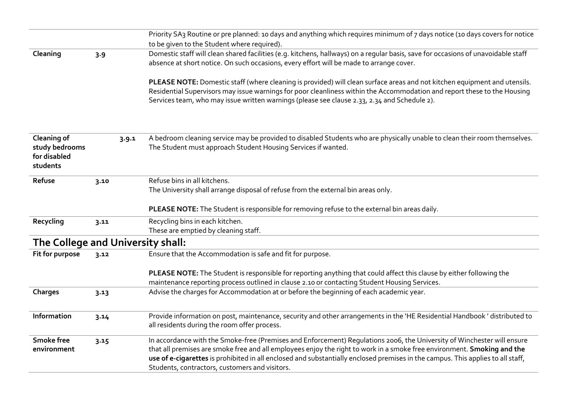|                                                           |      |       | Priority SA <sub>3</sub> Routine or pre planned: 10 days and anything which requires minimum of 7 days notice (10 days covers for notice<br>to be given to the Student where required).                                                                                                                                                                                                                                                 |
|-----------------------------------------------------------|------|-------|-----------------------------------------------------------------------------------------------------------------------------------------------------------------------------------------------------------------------------------------------------------------------------------------------------------------------------------------------------------------------------------------------------------------------------------------|
| Cleaning                                                  | 3.9  |       | Domestic staff will clean shared facilities (e.g. kitchens, hallways) on a regular basis, save for occasions of unavoidable staff<br>absence at short notice. On such occasions, every effort will be made to arrange cover.                                                                                                                                                                                                            |
|                                                           |      |       | PLEASE NOTE: Domestic staff (where cleaning is provided) will clean surface areas and not kitchen equipment and utensils.<br>Residential Supervisors may issue warnings for poor cleanliness within the Accommodation and report these to the Housing<br>Services team, who may issue written warnings (please see clause 2.33, 2.34 and Schedule 2).                                                                                   |
| Cleaning of<br>study bedrooms<br>for disabled<br>students |      | 3.9.1 | A bedroom cleaning service may be provided to disabled Students who are physically unable to clean their room themselves.<br>The Student must approach Student Housing Services if wanted.                                                                                                                                                                                                                                              |
| Refuse                                                    | 3.10 |       | Refuse bins in all kitchens.<br>The University shall arrange disposal of refuse from the external bin areas only.                                                                                                                                                                                                                                                                                                                       |
|                                                           |      |       | PLEASE NOTE: The Student is responsible for removing refuse to the external bin areas daily.                                                                                                                                                                                                                                                                                                                                            |
| Recycling                                                 | 3.11 |       | Recycling bins in each kitchen.                                                                                                                                                                                                                                                                                                                                                                                                         |
|                                                           |      |       | These are emptied by cleaning staff.                                                                                                                                                                                                                                                                                                                                                                                                    |
| The College and University shall:                         |      |       |                                                                                                                                                                                                                                                                                                                                                                                                                                         |
| Fit for purpose                                           | 3.12 |       | Ensure that the Accommodation is safe and fit for purpose.                                                                                                                                                                                                                                                                                                                                                                              |
|                                                           |      |       | PLEASE NOTE: The Student is responsible for reporting anything that could affect this clause by either following the<br>maintenance reporting process outlined in clause 2.10 or contacting Student Housing Services.                                                                                                                                                                                                                   |
| Charges                                                   | 3.13 |       | Advise the charges for Accommodation at or before the beginning of each academic year.                                                                                                                                                                                                                                                                                                                                                  |
| Information                                               | 3.14 |       | Provide information on post, maintenance, security and other arrangements in the 'HE Residential Handbook' distributed to<br>all residents during the room offer process.                                                                                                                                                                                                                                                               |
| <b>Smoke free</b><br>environment                          | 3.15 |       | In accordance with the Smoke-free (Premises and Enforcement) Regulations 2006, the University of Winchester will ensure<br>that all premises are smoke free and all employees enjoy the right to work in a smoke free environment. Smoking and the<br>use of e-cigarettes is prohibited in all enclosed and substantially enclosed premises in the campus. This applies to all staff,<br>Students, contractors, customers and visitors. |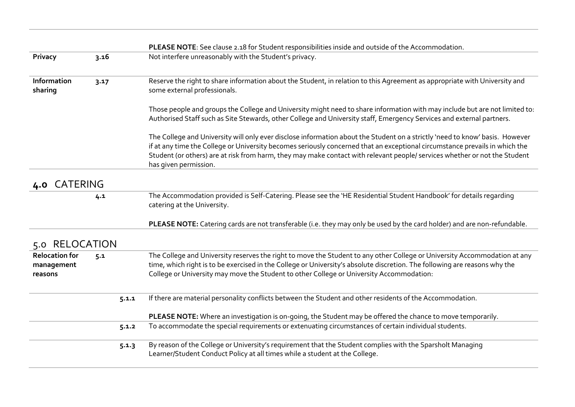|                                                |      |       | PLEASE NOTE: See clause 2.18 for Student responsibilities inside and outside of the Accommodation.                                                                                                                                                                                                                                                                                                                 |
|------------------------------------------------|------|-------|--------------------------------------------------------------------------------------------------------------------------------------------------------------------------------------------------------------------------------------------------------------------------------------------------------------------------------------------------------------------------------------------------------------------|
| Privacy                                        | 3.16 |       | Not interfere unreasonably with the Student's privacy.                                                                                                                                                                                                                                                                                                                                                             |
| Information<br>sharing                         | 3.17 |       | Reserve the right to share information about the Student, in relation to this Agreement as appropriate with University and<br>some external professionals.                                                                                                                                                                                                                                                         |
|                                                |      |       | Those people and groups the College and University might need to share information with may include but are not limited to:<br>Authorised Staff such as Site Stewards, other College and University staff, Emergency Services and external partners.                                                                                                                                                               |
|                                                |      |       | The College and University will only ever disclose information about the Student on a strictly 'need to know' basis. However<br>if at any time the College or University becomes seriously concerned that an exceptional circumstance prevails in which the<br>Student (or others) are at risk from harm, they may make contact with relevant people/ services whether or not the Student<br>has given permission. |
| <b>CATERING</b><br>4.0                         |      |       |                                                                                                                                                                                                                                                                                                                                                                                                                    |
|                                                | 4.1  |       | The Accommodation provided is Self-Catering. Please see the 'HE Residential Student Handbook' for details regarding<br>catering at the University.                                                                                                                                                                                                                                                                 |
|                                                |      |       | PLEASE NOTE: Catering cards are not transferable (i.e. they may only be used by the card holder) and are non-refundable.                                                                                                                                                                                                                                                                                           |
| 5.0 RELOCATION                                 |      |       |                                                                                                                                                                                                                                                                                                                                                                                                                    |
| <b>Relocation for</b><br>management<br>reasons | 5.1  |       | The College and University reserves the right to move the Student to any other College or University Accommodation at any<br>time, which right is to be exercised in the College or University's absolute discretion. The following are reasons why the<br>College or University may move the Student to other College or University Accommodation:                                                                |
|                                                |      | 5.1.1 | If there are material personality conflicts between the Student and other residents of the Accommodation.                                                                                                                                                                                                                                                                                                          |
|                                                |      |       | PLEASE NOTE: Where an investigation is on-going, the Student may be offered the chance to move temporarily.                                                                                                                                                                                                                                                                                                        |
|                                                |      | 5.1.2 | To accommodate the special requirements or extenuating circumstances of certain individual students.                                                                                                                                                                                                                                                                                                               |
|                                                |      | 5.1.3 | By reason of the College or University's requirement that the Student complies with the Sparsholt Managing<br>Learner/Student Conduct Policy at all times while a student at the College.                                                                                                                                                                                                                          |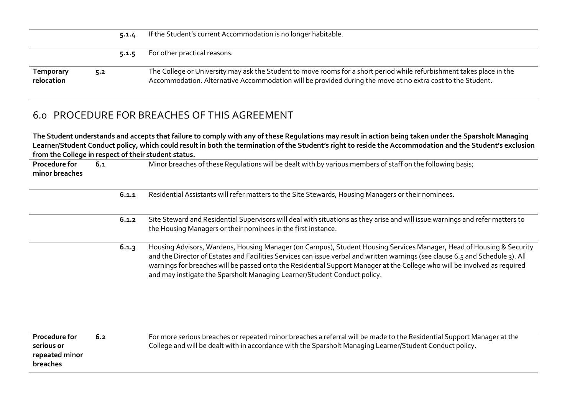|                                |     | 5.1.4 | If the Student's current Accommodation is no longer habitable.                                                                                                                                                                      |
|--------------------------------|-----|-------|-------------------------------------------------------------------------------------------------------------------------------------------------------------------------------------------------------------------------------------|
|                                |     | 5.1.5 | For other practical reasons.                                                                                                                                                                                                        |
| <b>Temporary</b><br>relocation | 5.2 |       | The College or University may ask the Student to move rooms for a short period while refurbishment takes place in the<br>Accommodation. Alternative Accommodation will be provided during the move at no extra cost to the Student. |

# 6.0 PROCEDURE FOR BREACHES OF THIS AGREEMENT

**The Student understands and accepts that failure to comply with any of these Regulations may result in action being taken under the Sparsholt Managing Learner/Student Conduct policy, which could result in both the termination of the Student's right to reside the Accommodation and the Student's exclusion from the College in respect of their student status.**

| Procedure for<br>minor breaches                           | 6.1 |       | Minor breaches of these Regulations will be dealt with by various members of staff on the following basis;                                                                                                                                                                                                                                                                                                                                                      |
|-----------------------------------------------------------|-----|-------|-----------------------------------------------------------------------------------------------------------------------------------------------------------------------------------------------------------------------------------------------------------------------------------------------------------------------------------------------------------------------------------------------------------------------------------------------------------------|
|                                                           |     | 6.1.1 | Residential Assistants will refer matters to the Site Stewards, Housing Managers or their nominees.                                                                                                                                                                                                                                                                                                                                                             |
|                                                           |     | 6.1.2 | Site Steward and Residential Supervisors will deal with situations as they arise and will issue warnings and refer matters to<br>the Housing Managers or their nominees in the first instance.                                                                                                                                                                                                                                                                  |
|                                                           |     | 6.1.3 | Housing Advisors, Wardens, Housing Manager (on Campus), Student Housing Services Manager, Head of Housing & Security<br>and the Director of Estates and Facilities Services can issue verbal and written warnings (see clause 6.5 and Schedule 3). All<br>warnings for breaches will be passed onto the Residential Support Manager at the College who will be involved as required<br>and may instigate the Sparsholt Managing Learner/Student Conduct policy. |
| Procedure for<br>serious or<br>repeated minor<br>breaches | 6.2 |       | For more serious breaches or repeated minor breaches a referral will be made to the Residential Support Manager at the<br>College and will be dealt with in accordance with the Sparsholt Managing Learner/Student Conduct policy.                                                                                                                                                                                                                              |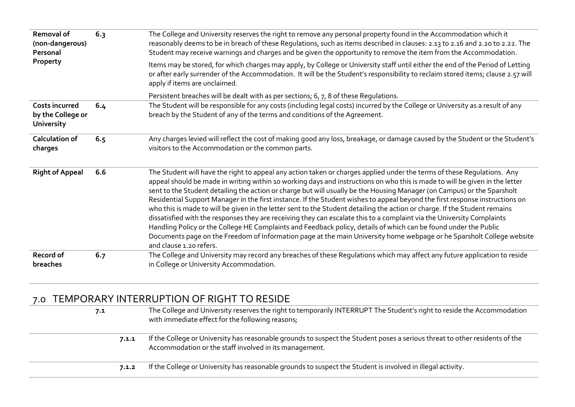| <b>Removal of</b><br>(non-dangerous)<br>Personal                | 6.3 | The College and University reserves the right to remove any personal property found in the Accommodation which it<br>reasonably deems to be in breach of these Regulations, such as items described in clauses: 2.13 to 2.16 and 2.20 to 2.22. The<br>Student may receive warnings and charges and be given the opportunity to remove the item from the Accommodation.                                                                                                                                                                                                                                                                                                                                                                                                                                                                                                                                                                                                                                                                            |
|-----------------------------------------------------------------|-----|---------------------------------------------------------------------------------------------------------------------------------------------------------------------------------------------------------------------------------------------------------------------------------------------------------------------------------------------------------------------------------------------------------------------------------------------------------------------------------------------------------------------------------------------------------------------------------------------------------------------------------------------------------------------------------------------------------------------------------------------------------------------------------------------------------------------------------------------------------------------------------------------------------------------------------------------------------------------------------------------------------------------------------------------------|
| Property                                                        |     | Items may be stored, for which charges may apply, by College or University staff until either the end of the Period of Letting<br>or after early surrender of the Accommodation. It will be the Student's responsibility to reclaim stored items; clause 2.57 will<br>apply if items are unclaimed.                                                                                                                                                                                                                                                                                                                                                                                                                                                                                                                                                                                                                                                                                                                                               |
|                                                                 |     | Persistent breaches will be dealt with as per sections; 6, 7, 8 of these Regulations.                                                                                                                                                                                                                                                                                                                                                                                                                                                                                                                                                                                                                                                                                                                                                                                                                                                                                                                                                             |
| <b>Costs incurred</b><br>by the College or<br><b>University</b> | 6.4 | The Student will be responsible for any costs (including legal costs) incurred by the College or University as a result of any<br>breach by the Student of any of the terms and conditions of the Agreement.                                                                                                                                                                                                                                                                                                                                                                                                                                                                                                                                                                                                                                                                                                                                                                                                                                      |
| Calculation of<br>charges                                       | 6.5 | Any charges levied will reflect the cost of making good any loss, breakage, or damage caused by the Student or the Student's<br>visitors to the Accommodation or the common parts.                                                                                                                                                                                                                                                                                                                                                                                                                                                                                                                                                                                                                                                                                                                                                                                                                                                                |
| <b>Right of Appeal</b>                                          | 6.6 | The Student will have the right to appeal any action taken or charges applied under the terms of these Regulations. Any<br>appeal should be made in writing within 10 working days and instructions on who this is made to will be given in the letter<br>sent to the Student detailing the action or charge but will usually be the Housing Manager (on Campus) or the Sparsholt<br>Residential Support Manager in the first instance. If the Student wishes to appeal beyond the first response instructions on<br>who this is made to will be given in the letter sent to the Student detailing the action or charge. If the Student remains<br>dissatisfied with the responses they are receiving they can escalate this to a complaint via the University Complaints<br>Handling Policy or the College HE Complaints and Feedback policy, details of which can be found under the Public<br>Documents page on the Freedom of Information page at the main University home webpage or he Sparsholt College website<br>and clause 1.20 refers. |
| Record of<br>breaches                                           | 6.7 | The College and University may record any breaches of these Regulations which may affect any future application to reside<br>in College or University Accommodation.                                                                                                                                                                                                                                                                                                                                                                                                                                                                                                                                                                                                                                                                                                                                                                                                                                                                              |

# 7.0 TEMPORARY INTERRUPTION OF RIGHT TO RESIDE

| 7.1   | The College and University reserves the right to temporarily INTERRUPT The Student's right to reside the Accommodation<br>with immediate effect for the following reasons;            |
|-------|---------------------------------------------------------------------------------------------------------------------------------------------------------------------------------------|
| 7.1.1 | If the College or University has reasonable grounds to suspect the Student poses a serious threat to other residents of the<br>Accommodation or the staff involved in its management. |
| 7.1.2 | If the College or University has reasonable grounds to suspect the Student is involved in illegal activity.                                                                           |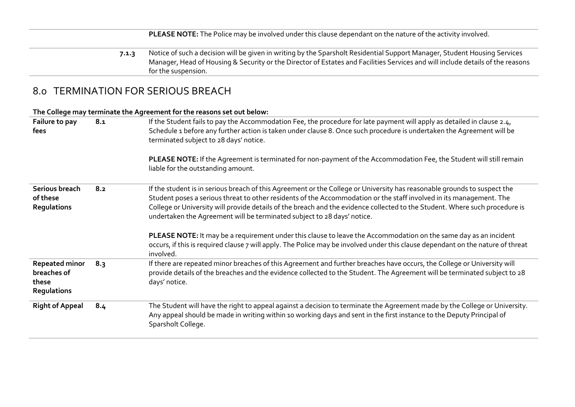|       | <b>PLEASE NOTE:</b> The Police may be involved under this clause dependant on the nature of the activity involved.                                    |
|-------|-------------------------------------------------------------------------------------------------------------------------------------------------------|
| 7.1.3 | Notice of such a decision will be given in writing by the Sparsholt Residential Support Manager, Student Housing Services                             |
|       | Manager, Head of Housing & Security or the Director of Estates and Facilities Services and will include details of the reasons<br>for the suspension. |

# 8.0 TERMINATION FOR SERIOUS BREACH

### **The College may terminate the Agreement for the reasons set out below:**

| Failure to pay<br>fees                                              | 8.1 | If the Student fails to pay the Accommodation Fee, the procedure for late payment will apply as detailed in clause 2.4,<br>Schedule 1 before any further action is taken under clause 8. Once such procedure is undertaken the Agreement will be<br>terminated subject to 28 days' notice.<br>PLEASE NOTE: If the Agreement is terminated for non-payment of the Accommodation Fee, the Student will still remain<br>liable for the outstanding amount.                                                                                                                                                                                                                                                                       |
|---------------------------------------------------------------------|-----|-------------------------------------------------------------------------------------------------------------------------------------------------------------------------------------------------------------------------------------------------------------------------------------------------------------------------------------------------------------------------------------------------------------------------------------------------------------------------------------------------------------------------------------------------------------------------------------------------------------------------------------------------------------------------------------------------------------------------------|
| Serious breach<br>of these<br><b>Regulations</b>                    | 8.2 | If the student is in serious breach of this Agreement or the College or University has reasonable grounds to suspect the<br>Student poses a serious threat to other residents of the Accommodation or the staff involved in its management. The<br>College or University will provide details of the breach and the evidence collected to the Student. Where such procedure is<br>undertaken the Agreement will be terminated subject to 28 days' notice.<br>PLEASE NOTE: It may be a requirement under this clause to leave the Accommodation on the same day as an incident<br>occurs, if this is required clause 7 will apply. The Police may be involved under this clause dependant on the nature of threat<br>involved. |
| <b>Repeated minor</b><br>breaches of<br>these<br><b>Regulations</b> | 8.3 | If there are repeated minor breaches of this Agreement and further breaches have occurs, the College or University will<br>provide details of the breaches and the evidence collected to the Student. The Agreement will be terminated subject to 28<br>days' notice.                                                                                                                                                                                                                                                                                                                                                                                                                                                         |
| <b>Right of Appeal</b>                                              | 8.4 | The Student will have the right to appeal against a decision to terminate the Agreement made by the College or University.<br>Any appeal should be made in writing within 10 working days and sent in the first instance to the Deputy Principal of<br>Sparsholt College.                                                                                                                                                                                                                                                                                                                                                                                                                                                     |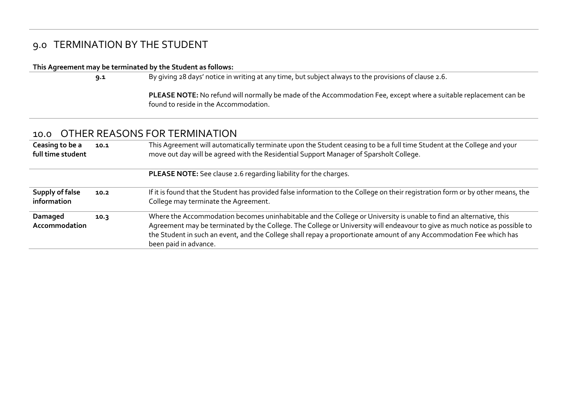# 9.0 TERMINATION BY THE STUDENT

#### **This Agreement may be terminated by the Student as follows:**

**9.1** By giving 28 days' notice in writing at any time, but subject always to the provisions of clause 2.6.

**PLEASE NOTE:** No refund will normally be made of the Accommodation Fee, except where a suitable replacement can be found to reside in the Accommodation.

## 10.0 OTHER REASONS FOR TERMINATION

| Ceasing to be a<br>full time student | 10.1 | This Agreement will automatically terminate upon the Student ceasing to be a full time Student at the College and your<br>move out day will be agreed with the Residential Support Manager of Sparsholt College.                                                                                                                                                                                 |
|--------------------------------------|------|--------------------------------------------------------------------------------------------------------------------------------------------------------------------------------------------------------------------------------------------------------------------------------------------------------------------------------------------------------------------------------------------------|
|                                      |      | <b>PLEASE NOTE:</b> See clause 2.6 regarding liability for the charges.                                                                                                                                                                                                                                                                                                                          |
| Supply of false<br>information       | 10.2 | If it is found that the Student has provided false information to the College on their registration form or by other means, the<br>College may terminate the Agreement.                                                                                                                                                                                                                          |
| Damaged<br>Accommodation             | 10.3 | Where the Accommodation becomes uninhabitable and the College or University is unable to find an alternative, this<br>Agreement may be terminated by the College. The College or University will endeavour to give as much notice as possible to<br>the Student in such an event, and the College shall repay a proportionate amount of any Accommodation Fee which has<br>been paid in advance. |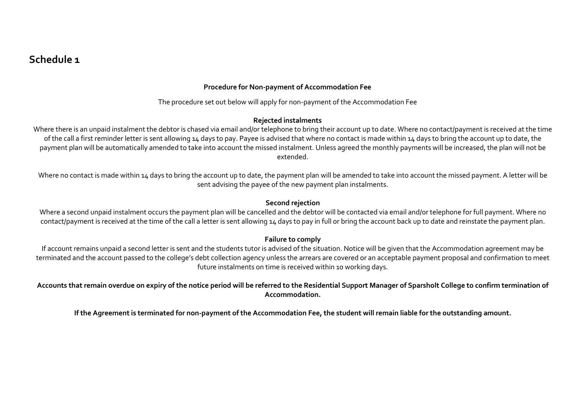# **Schedule 1**

#### **Procedure for Non-payment of Accommodation Fee**

The procedure set out below will apply for non-payment of the Accommodation Fee

#### **Rejected instalments**

Where there is an unpaid instalment the debtor is chased via email and/or telephone to bring their account up to date. Where no contact/payment is received at the time of the call a first reminder letter is sent allowing 14 days to pay. Payee is advised that where no contact is made within 14 days to bring the account up to date, the payment plan will be automatically amended to take into account the missed instalment. Unless agreed the monthly payments will be increased, the plan will not be extended.

Where no contact is made within 14 days to bring the account up to date, the payment plan will be amended to take into account the missed payment. A letter will be sent advising the payee of the new payment plan instalments.

#### **Second rejection**

Where a second unpaid instalment occurs the payment plan will be cancelled and the debtor will be contacted via email and/or telephone for full payment. Where no contact/payment is received at the time of the call a letter is sent allowing 14 days to pay in full or bring the account back up to date and reinstate the payment plan.

#### **Failure to comply**

If account remains unpaid a second letter is sent and the students tutor is advised of the situation. Notice will be given that the Accommodation agreement may be terminated and the account passed to the college's debt collection agency unless the arrears are covered or an acceptable payment proposal and confirmation to meet future instalments on time is received within 10 working days.

**Accounts that remain overdue on expiry of the notice period will be referred to the Residential Support Manager of Sparsholt College to confirm termination of Accommodation.** 

**If the Agreement is terminated for non-payment of the Accommodation Fee, the student will remain liable for the outstanding amount.**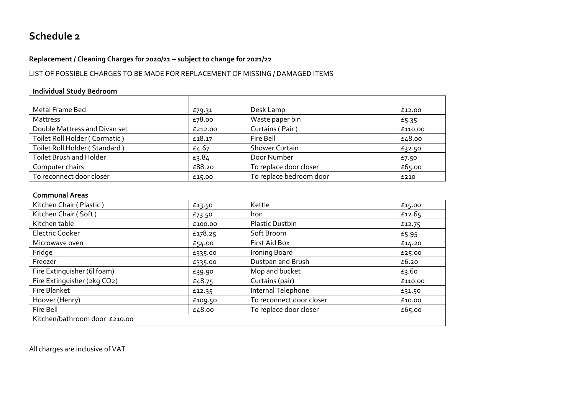# **Schedule 2**

### **Replacement / Cleaning Charges for 2020/21 – subject to change for 2021/22**

### LIST OF POSSIBLE CHARGES TO BE MADE FOR REPLACEMENT OF MISSING / DAMAGED ITEMS

#### **Individual Study Bedroom**

| Metal Frame Bed                | £79.31  | Desk Lamp               | £12.00  |
|--------------------------------|---------|-------------------------|---------|
| Mattress                       | £78.00  | Waste paper bin         | £5.35   |
| Double Mattress and Divan set  | £212.00 | Curtains (Pair)         | £110.00 |
| Toilet Roll Holder (Cormatic)  | £18.17  | Fire Bell               | £48.00  |
| Toilet Roll Holder (Standard)  | £4.67   | <b>Shower Curtain</b>   | £32.50  |
| <b>Toilet Brush and Holder</b> | £3.84   | Door Number             | £7.50   |
| Computer chairs                | £88.20  | To replace door closer  | £65.00  |
| To reconnect door closer       | £15.00  | To replace bedroom door | £210    |

#### **Communal Areas**

| Kitchen Chair (Plastic)       | £13.50  | Kettle                   | £15.00  |
|-------------------------------|---------|--------------------------|---------|
| Kitchen Chair (Soft)          | £73.50  | <i>Iron</i>              | £12.65  |
| Kitchen table                 | £100.00 | <b>Plastic Dustbin</b>   | £12.75  |
| <b>Electric Cooker</b>        | £178.25 | Soft Broom               | £5.95   |
| Microwave oven                | £54.00  | First Aid Box            | £14.20  |
| Fridge                        | £335.00 | Ironing Board            | £25.00  |
| Freezer                       | £335.00 | Dustpan and Brush        | £6.20   |
| Fire Extinguisher (6l foam)   | £39.90  | Mop and bucket           | £3.60   |
| Fire Extinguisher (2kg CO2)   | £48.75  | Curtains (pair)          | £110.00 |
| Fire Blanket                  | £12.35  | Internal Telephone       | £31.50  |
| Hoover (Henry)                | £109.50 | To reconnect door closer | £10.00  |
| Fire Bell                     | £48.00  | To replace door closer   | £65.00  |
| Kitchen/bathroom door £210.00 |         |                          |         |

All charges are inclusive of VAT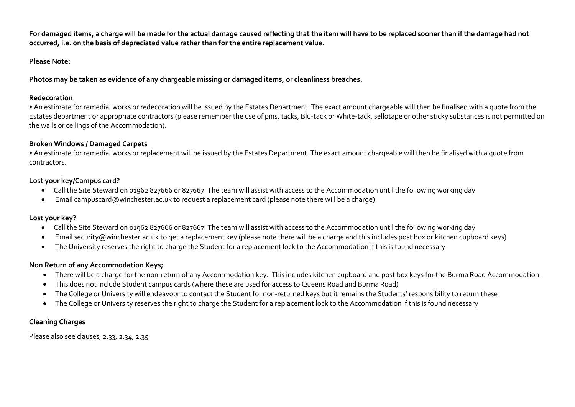**For damaged items, a charge will be made for the actual damage caused reflecting that the item will have to be replaced sooner than if the damage had not occurred, i.e. on the basis of depreciated value rather than for the entire replacement value.**

#### **Please Note:**

**Photos may be taken as evidence of any chargeable missing or damaged items, or cleanliness breaches.**

#### **Redecoration**

• An estimate for remedial works or redecoration will be issued by the Estates Department. The exact amount chargeable will then be finalised with a quote from the Estates department or appropriate contractors (please remember the use of pins, tacks, Blu-tack or White-tack, sellotape or other sticky substances is not permitted on the walls or ceilings of the Accommodation).

### **Broken Windows / Damaged Carpets**

• An estimate for remedial works or replacement will be issued by the Estates Department. The exact amount chargeable will then be finalised with a quote from contractors.

### **Lost your key/Campus card?**

- Call the Site Steward on 01962 827666 or 827667. The team will assist with access to the Accommodation until the following working day
- Email campuscard@winchester.ac.uk to request a replacement card (please note there will be a charge)

### **Lost your key?**

- Call the Site Steward on 01962 827666 or 827667. The team will assist with access to the Accommodation until the following working day
- Email security@winchester.ac.uk to get a replacement key (please note there will be a charge and this includes post box or kitchen cupboard keys)
- The University reserves the right to charge the Student for a replacement lock to the Accommodation if this is found necessary

### **Non Return of any Accommodation Keys;**

- There will be a charge for the non-return of any Accommodation key. This includes kitchen cupboard and post box keys for the Burma Road Accommodation.
- This does not include Student campus cards (where these are used for access to Queens Road and Burma Road)
- The College or University will endeavour to contact the Student for non-returned keys but it remains the Students' responsibility to return these
- The College or University reserves the right to charge the Student for a replacement lock to the Accommodation if this is found necessary

### **Cleaning Charges**

Please also see clauses; 2.33, 2.34, 2.35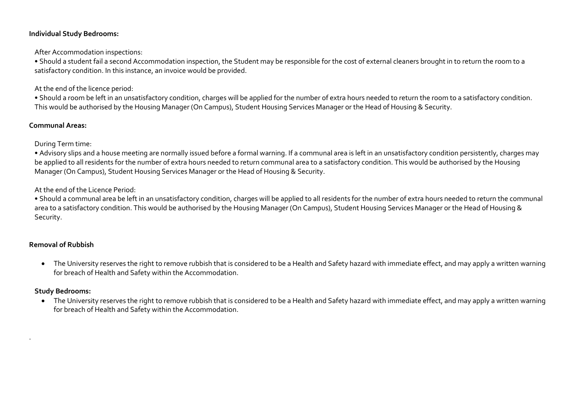#### **Individual Study Bedrooms:**

After Accommodation inspections:

• Should a student fail a second Accommodation inspection, the Student may be responsible for the cost of external cleaners brought in to return the room to a satisfactory condition. In this instance, an invoice would be provided.

#### At the end of the licence period:

• Should a room be left in an unsatisfactory condition, charges will be applied for the number of extra hours needed to return the room to a satisfactory condition. This would be authorised by the Housing Manager (On Campus), Student Housing Services Manager or the Head of Housing & Security.

#### **Communal Areas:**

During Term time:

• Advisory slips and a house meeting are normally issued before a formal warning. If a communal area is left in an unsatisfactory condition persistently, charges may be applied to all residents for the number of extra hours needed to return communal area to a satisfactory condition. This would be authorised by the Housing Manager (On Campus), Student Housing Services Manager or the Head of Housing & Security.

At the end of the Licence Period:

• Should a communal area be left in an unsatisfactory condition, charges will be applied to all residents for the number of extra hours needed to return the communal area to a satisfactory condition. This would be authorised by the Housing Manager (On Campus), Student Housing Services Manager or the Head of Housing & Security.

### **Removal of Rubbish**

• The University reserves the right to remove rubbish that is considered to be a Health and Safety hazard with immediate effect, and may apply a written warning for breach of Health and Safety within the Accommodation.

### **Study Bedrooms:**

.

• The University reserves the right to remove rubbish that is considered to be a Health and Safety hazard with immediate effect, and may apply a written warning for breach of Health and Safety within the Accommodation.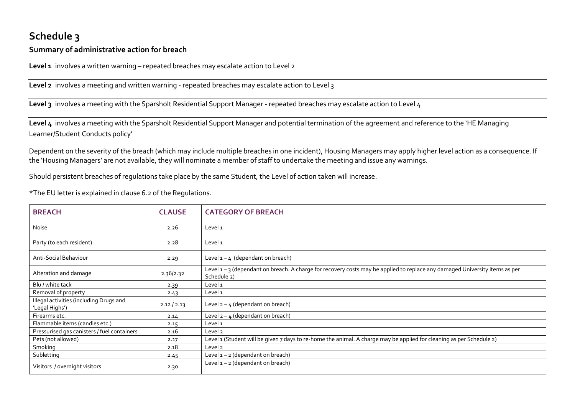# **Schedule 3**

### **Summary of administrative action for breach**

Level 1 involves a written warning – repeated breaches may escalate action to Level 2

**Level 2** involves a meeting and written warning - repeated breaches may escalate action to Level 3

**Level 3** involves a meeting with the Sparsholt Residential Support Manager - repeated breaches may escalate action to Level 4

**Level 4** involves a meeting with the Sparsholt Residential Support Manager and potential termination of the agreement and reference to the 'HE Managing Learner/Student Conducts policy'

Dependent on the severity of the breach (which may include multiple breaches in one incident), Housing Managers may apply higher level action as a consequence. If the 'Housing Managers' are not available, they will nominate a member of staff to undertake the meeting and issue any warnings.

Should persistent breaches of regulations take place by the same Student, the Level of action taken will increase.

\*The EU letter is explained in clause 6.2 of the Regulations.

| <b>BREACH</b>                                             | <b>CLAUSE</b> | <b>CATEGORY OF BREACH</b>                                                                                                                |
|-----------------------------------------------------------|---------------|------------------------------------------------------------------------------------------------------------------------------------------|
| Noise                                                     | 2.26          | Level 1                                                                                                                                  |
| Party (to each resident)                                  | 2.28          | Level 1                                                                                                                                  |
| Anti-Social Behaviour                                     | 2.29          | Level $1 - 4$ (dependant on breach)                                                                                                      |
| Alteration and damage                                     | 2.36/2.32     | Level 1-3 (dependant on breach. A charge for recovery costs may be applied to replace any damaged University items as per<br>Schedule 2) |
| Blu / white tack                                          | 2.39          | Level 1                                                                                                                                  |
| Removal of property                                       | 2.43          | Level 1                                                                                                                                  |
| Illegal activities (including Drugs and<br>'Legal Highs') | 2.12 / 2.13   | Level $2 - 4$ (dependant on breach)                                                                                                      |
| Firearms etc.                                             | 2.14          | Level $2 - 4$ (dependant on breach)                                                                                                      |
| Flammable items (candles etc.)                            | 2.15          | Level 1                                                                                                                                  |
| Pressurised gas canisters / fuel containers               | 2.16          | Level <sub>2</sub>                                                                                                                       |
| Pets (not allowed)                                        | 2.17          | Level 1 (Student will be given 7 days to re-home the animal. A charge may be applied for cleaning as per Schedule 2)                     |
| Smoking                                                   | 2.18          | Level <sub>2</sub>                                                                                                                       |
| Subletting                                                | 2.45          | Level $1 - 2$ (dependant on breach)                                                                                                      |
| Visitors / overnight visitors                             | 2.30          | Level $1 - 2$ (dependant on breach)                                                                                                      |